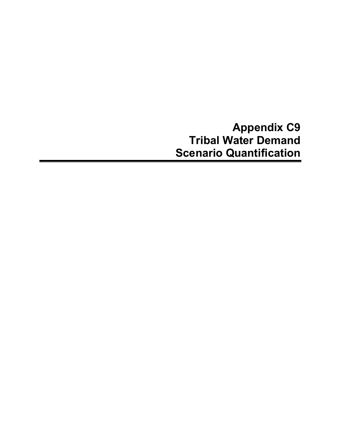**Appendix C9 Tribal Water Demand Scenario Quantification**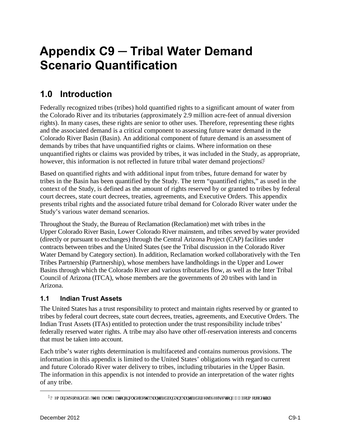# **Appendix C9 ─ Tribal Water Demand Scenario Quantification**

# **1.0 Introduction**

Federally recognized tribes (tribes) hold quantified rights to a significant amount of water from the Colorado River and its tributaries (approximately 2.9 million acre-feet of annual diversion rights). In many cases, these rights are senior to other uses. Therefore, representing these rights and the associated demand is a critical component to assessing future water demand in the Colorado River Basin (Basin). An additional component of future demand is an assessment of demands by tribes that have unquantified rights or claims. Where information on these unquantified rights or claims was provided by tribes, it was included in the Study, as appropriate, however, this information is not reflected in future tribal water demand projections  $\theta$ 

Based on quantified rights and with additional input from tribes, future demand for water by tribes in the Basin has been quantified by the Study. The term "quantified rights," as used in the context of the Study, is defined as the amount of rights reserved by or granted to tribes by federal court decrees, state court decrees, treaties, agreements, and Executive Orders. This appendix presents tribal rights and the associated future tribal demand for Colorado River water under the Study's various water demand scenarios.

Throughout the Study, the Bureau of Reclamation (Reclamation) met with tribes in the Upper Colorado River Basin, Lower Colorado River mainstem, and tribes served by water provided (directly or pursuant to exchanges) through the Central Arizona Project (CAP) facilities under contracts between tribes and the United States (see the Tribal discussion in the Colorado River Water Demand by Category section). In addition, Reclamation worked collaboratively with the Ten Tribes Partnership (Partnership), whose members have landholdings in the Upper and Lower Basins through which the Colorado River and various tributaries flow, as well as the Inter Tribal Council of Arizona (ITCA), whose members are the governments of 20 tribes with land in Arizona.

# **1.1 Indian Trust Assets**

The United States has a trust responsibility to protect and maintain rights reserved by or granted to tribes by federal court decrees, state court decrees, treaties, agreements, and Executive Orders. The Indian Trust Assets (ITAs) entitled to protection under the trust responsibility include tribes' federally reserved water rights. A tribe may also have other off-reservation interests and concerns that must be taken into account.

Each tribe's water rights determination is multifaceted and contains numerous provisions. The information in this appendix is limited to the United States' obligations with regard to current and future Colorado River water delivery to tribes, including tributaries in the Upper Basin. The information in this appendix is not intended to provide an interpretation of the water rights of any tribe.

<span id="page-2-0"></span> $\overline{a}$ 

<sup>3&#</sup>x27;F go cpf u't tqxkf gf "d{"y g'P cxclq'P cwqp"kpenwf g"dqyj "swcpwlklgf" cpf "wps wcpwlklgf" tki j w.0Ugg'ugewlqp"50604" hqt"o qtg"f gyckt0"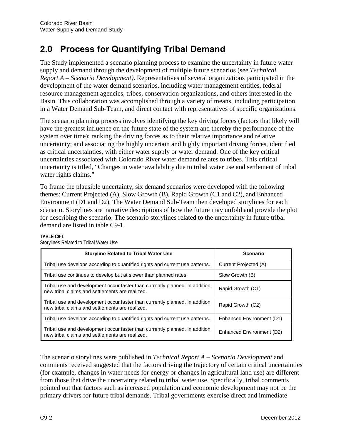# **2.0 Process for Quantifying Tribal Demand**

The Study implemented a scenario planning process to examine the uncertainty in future water supply and demand through the development of multiple future scenarios (see *Technical Report A – Scenario Development)*. Representatives of several organizations participated in the development of the water demand scenarios, including water management entities, federal resource management agencies, tribes, conservation organizations, and others interested in the Basin. This collaboration was accomplished through a variety of means, including participation in a Water Demand Sub-Team, and direct contact with representatives of specific organizations.

The scenario planning process involves identifying the key driving forces (factors that likely will have the greatest influence on the future state of the system and thereby the performance of the system over time); ranking the driving forces as to their relative importance and relative uncertainty; and associating the highly uncertain and highly important driving forces, identified as critical uncertainties, with either water supply or water demand. One of the key critical uncertainties associated with Colorado River water demand relates to tribes. This critical uncertainty is titled, "Changes in water availability due to tribal water use and settlement of tribal water rights claims."

To frame the plausible uncertainty, six demand scenarios were developed with the following themes: Current Projected (A), Slow Growth (B), Rapid Growth (C1 and C2), and Enhanced Environment (D1 and D2). The Water Demand Sub-Team then developed storylines for each scenario. Storylines are narrative descriptions of how the future may unfold and provide the plot for describing the scenario. The scenario storylines related to the uncertainty in future tribal demand are listed in table C9-1.

| <b>Storyline Related to Tribal Water Use</b>                                                                                    | <b>Scenario</b>           |
|---------------------------------------------------------------------------------------------------------------------------------|---------------------------|
| Tribal use develops according to quantified rights and current use patterns.                                                    | Current Projected (A)     |
| Tribal use continues to develop but at slower than planned rates.                                                               | Slow Growth (B)           |
| Tribal use and development occur faster than currently planned. In addition,<br>new tribal claims and settlements are realized. | Rapid Growth (C1)         |
| Tribal use and development occur faster than currently planned. In addition,<br>new tribal claims and settlements are realized. | Rapid Growth (C2)         |
| Tribal use develops according to quantified rights and current use patterns.                                                    | Enhanced Environment (D1) |
| Tribal use and development occur faster than currently planned. In addition,<br>new tribal claims and settlements are realized. | Enhanced Environment (D2) |

#### **TABLE C9-1**  Storylines Related to Tribal Water Use

The scenario storylines were published in *Technical Report A – Scenario Development* and comments received suggested that the factors driving the trajectory of certain critical uncertainties (for example, changes in water needs for energy or changes in agricultural land use) are different from those that drive the uncertainty related to tribal water use. Specifically, tribal comments pointed out that factors such as increased population and economic development may not be the primary drivers for future tribal demands. Tribal governments exercise direct and immediate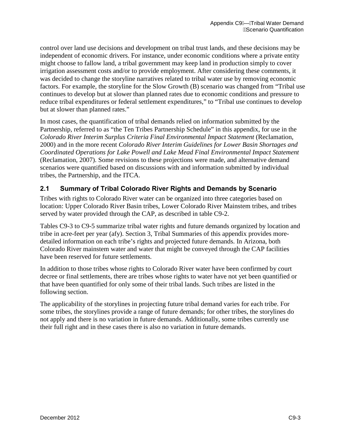control over land use decisions and development on tribal trust lands, and these decisions may be independent of economic drivers. For instance, under economic conditions where a private entity might choose to fallow land, a tribal government may keep land in production simply to cover irrigation assessment costs and/or to provide employment. After considering these comments, it was decided to change the storyline narratives related to tribal water use by removing economic factors. For example, the storyline for the Slow Growth (B) scenario was changed from "Tribal use continues to develop but at slower than planned rates due to economic conditions and pressure to reduce tribal expenditures or federal settlement expenditures," to "Tribal use continues to develop but at slower than planned rates."

In most cases, the quantification of tribal demands relied on information submitted by the Partnership, referred to as "the Ten Tribes Partnership Schedule" in this appendix, for use in the *Colorado River Interim Surplus Criteria Final Environmental Impact Statement* (Reclamation, 2000) and in the more recent *Colorado River Interim Guidelines for Lower Basin Shortages and Coordinated Operations for Lake Powell and Lake Mead Final Environmental Impact Statement* (Reclamation, 2007). Some revisions to these projections were made, and alternative demand scenarios were quantified based on discussions with and information submitted by individual tribes, the Partnership, and the ITCA.

# **2.1 Summary of Tribal Colorado River Rights and Demands by Scenario**

Tribes with rights to Colorado River water can be organized into three categories based on location: Upper Colorado River Basin tribes, Lower Colorado River Mainstem tribes, and tribes served by water provided through the CAP, as described in table C9-2.

Tables C9-3 to C9-5 summarize tribal water rights and future demands organized by location and tribe in acre-feet per year (afy). Section 3, Tribal Summaries of this appendix provides moredetailed information on each tribe's rights and projected future demands. In Arizona, both Colorado River mainstem water and water that might be conveyed through the CAP facilities have been reserved for future settlements.

In addition to those tribes whose rights to Colorado River water have been confirmed by court decree or final settlements, there are tribes whose rights to water have not yet been quantified or that have been quantified for only some of their tribal lands. Such tribes are listed in the following section.

The applicability of the storylines in projecting future tribal demand varies for each tribe. For some tribes, the storylines provide a range of future demands; for other tribes, the storylines do not apply and there is no variation in future demands. Additionally, some tribes currently use their full right and in these cases there is also no variation in future demands.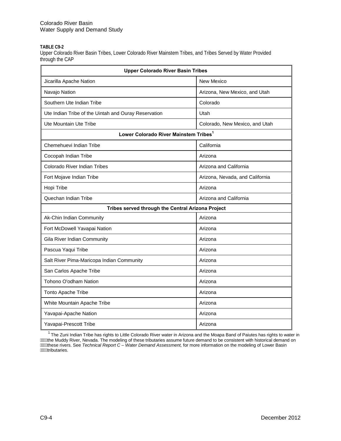#### **TABLE C9-2**

Upper Colorado River Basin Tribes, Lower Colorado River Mainstem Tribes, and Tribes Served by Water Provided through the CAP

| <b>Upper Colorado River Basin Tribes</b>             |                                 |  |  |  |  |  |  |
|------------------------------------------------------|---------------------------------|--|--|--|--|--|--|
| Jicarilla Apache Nation                              | <b>New Mexico</b>               |  |  |  |  |  |  |
| Navajo Nation                                        | Arizona, New Mexico, and Utah   |  |  |  |  |  |  |
| Southern Ute Indian Tribe                            | Colorado                        |  |  |  |  |  |  |
| Ute Indian Tribe of the Uintah and Ouray Reservation | Utah                            |  |  |  |  |  |  |
| Ute Mountain Ute Tribe                               | Colorado, New Mexico, and Utah  |  |  |  |  |  |  |
| Lower Colorado River Mainstem Tribes <sup>1</sup>    |                                 |  |  |  |  |  |  |
| Chemehuevi Indian Tribe                              | California                      |  |  |  |  |  |  |
| Cocopah Indian Tribe                                 | Arizona                         |  |  |  |  |  |  |
| <b>Colorado River Indian Tribes</b>                  | Arizona and California          |  |  |  |  |  |  |
| Fort Mojave Indian Tribe                             | Arizona, Nevada, and California |  |  |  |  |  |  |
| Hopi Tribe                                           | Arizona                         |  |  |  |  |  |  |
| Quechan Indian Tribe                                 | Arizona and California          |  |  |  |  |  |  |
| Tribes served through the Central Arizona Project    |                                 |  |  |  |  |  |  |
| Ak-Chin Indian Community                             | Arizona                         |  |  |  |  |  |  |
| Fort McDowell Yavapai Nation                         | Arizona                         |  |  |  |  |  |  |
| Gila River Indian Community                          | Arizona                         |  |  |  |  |  |  |
| Pascua Yaqui Tribe                                   | Arizona                         |  |  |  |  |  |  |
| Salt River Pima-Maricopa Indian Community            | Arizona                         |  |  |  |  |  |  |
| San Carlos Apache Tribe                              | Arizona                         |  |  |  |  |  |  |
| Tohono O'odham Nation                                | Arizona                         |  |  |  |  |  |  |
| Tonto Apache Tribe                                   | Arizona                         |  |  |  |  |  |  |
| White Mountain Apache Tribe                          | Arizona                         |  |  |  |  |  |  |
| Yavapai-Apache Nation                                | Arizona                         |  |  |  |  |  |  |
| Yavapai-Prescott Tribe                               | Arizona                         |  |  |  |  |  |  |

 $1$ The Zuni Indian Tribe has rights to Little Colorado River water in Arizona and the Moapa Band of Paiutes has rights to water in the Muddy River, Nevada. The modeling of these tributaries assume future demand to be consistent with historical demand on these rivers. See *Technical Report C – Water Demand Assessment,* for more information on the modeling of Lower Basin **AWWA**ributaries.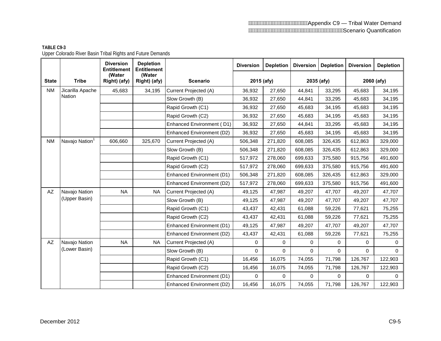### Appendix C9 — Tribal Water Demand Scenario Quantification

|                        |                            | <b>Diversion</b><br><b>Entitlement</b> | <b>Depletion</b><br><b>Entitlement</b> |                           | <b>Diversion</b> | <b>Depletion</b> | <b>Diversion</b> | <b>Depletion</b> | <b>Diversion</b> | <b>Depletion</b> |
|------------------------|----------------------------|----------------------------------------|----------------------------------------|---------------------------|------------------|------------------|------------------|------------------|------------------|------------------|
| <b>State</b>           | <b>Tribe</b>               | (Water<br>Right) (afy)                 | (Water<br>Right) (afy)                 | <b>Scenario</b>           | 2015 (afy)       |                  | 2035 (afy)       |                  | 2060 (afy)       |                  |
| <b>NM</b>              | Jicarilla Apache           | 45,683                                 | 34,195                                 | Current Projected (A)     | 36,932           | 27,650           | 44,841           | 33,295           | 45,683           | 34,195           |
|                        | <b>Nation</b>              |                                        |                                        | Slow Growth (B)           | 36,932           | 27,650           | 44,841           | 33,295           | 45,683           | 34,195           |
|                        |                            |                                        |                                        | Rapid Growth (C1)         | 36,932           | 27,650           | 45,683           | 34,195           | 45,683           | 34,195           |
|                        |                            |                                        |                                        | Rapid Growth (C2)         | 36,932           | 27,650           | 45,683           | 34,195           | 45,683           | 34,195           |
|                        |                            |                                        |                                        | Enhanced Environment (D1) | 36,932           | 27,650           | 44,841           | 33,295           | 45,683           | 34,195           |
|                        |                            |                                        |                                        | Enhanced Environment (D2) | 36,932           | 27,650           | 45,683           | 34,195           | 45,683           | 34,195           |
| <b>NM</b>              | Navajo Nation <sup>1</sup> | 606,660                                | 325,670                                | Current Projected (A)     | 506,348          | 271,820          | 608,085          | 326,435          | 612,863          | 329,000          |
|                        |                            |                                        |                                        | Slow Growth (B)           | 506,348          | 271,820          | 608,085          | 326,435          | 612,863          | 329,000          |
|                        |                            |                                        |                                        | Rapid Growth (C1)         | 517,972          | 278,060          | 699,633          | 375,580          | 915,756          | 491,600          |
|                        |                            |                                        |                                        | Rapid Growth (C2)         | 517,972          | 278,060          | 699,633          | 375,580          | 915,756          | 491,600          |
|                        |                            |                                        |                                        | Enhanced Environment (D1) | 506,348          | 271,820          | 608,085          | 326,435          | 612,863          | 329,000          |
|                        |                            |                                        |                                        | Enhanced Environment (D2) | 517,972          | 278,060          | 699,633          | 375,580          | 915,756          | 491,600          |
| $\mathsf{A}\mathsf{Z}$ | Navajo Nation              | <b>NA</b>                              | <b>NA</b>                              | Current Projected (A)     | 49,125           | 47,987           | 49,207           | 47,707           | 49,207           | 47,707           |
|                        | (Upper Basin)              |                                        |                                        | Slow Growth (B)           | 49,125           | 47,987           | 49,207           | 47,707           | 49,207           | 47,707           |
|                        |                            |                                        |                                        | Rapid Growth (C1)         | 43,437           | 42,431           | 61,088           | 59,226           | 77,621           | 75,255           |
|                        |                            |                                        |                                        | Rapid Growth (C2)         | 43,437           | 42,431           | 61,088           | 59,226           | 77,621           | 75,255           |
|                        |                            |                                        |                                        | Enhanced Environment (D1) | 49,125           | 47,987           | 49,207           | 47,707           | 49,207           | 47,707           |
|                        |                            |                                        |                                        | Enhanced Environment (D2) | 43,437           | 42,431           | 61,088           | 59,226           | 77,621           | 75,255           |
| $\mathsf{A}\mathsf{Z}$ | Navajo Nation              | <b>NA</b>                              | <b>NA</b>                              | Current Projected (A)     | 0                | 0                | 0                | 0                | 0                | $\mathbf 0$      |
|                        | (Lower Basin)              |                                        |                                        | Slow Growth (B)           | 0                | 0                | 0                | $\Omega$         | $\Omega$         | $\Omega$         |
|                        |                            |                                        |                                        | Rapid Growth (C1)         | 16,456           | 16,075           | 74,055           | 71,798           | 126,767          | 122,903          |
|                        |                            |                                        |                                        | Rapid Growth (C2)         | 16,456           | 16,075           | 74,055           | 71,798           | 126,767          | 122,903          |
|                        |                            |                                        |                                        | Enhanced Environment (D1) | 0                | 0                | $\Omega$         | $\Omega$         | $\Omega$         | $\Omega$         |
|                        |                            |                                        |                                        | Enhanced Environment (D2) | 16,456           | 16,075           | 74,055           | 71,798           | 126,767          | 122,903          |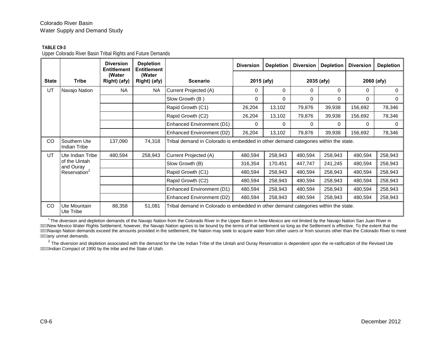#### **TABLE C9-3**

Upper Colorado River Basin Tribal Rights and Future Demands

|              |                              | <b>Diversion</b><br><b>Entitlement</b> | <b>Depletion</b><br><b>Entitlement</b> |                                                                                    | <b>Diversion</b> | <b>Depletion</b> | <b>Diversion</b> | <b>Depletion</b> | <b>Diversion</b> | <b>Depletion</b> |
|--------------|------------------------------|----------------------------------------|----------------------------------------|------------------------------------------------------------------------------------|------------------|------------------|------------------|------------------|------------------|------------------|
| <b>State</b> | <b>Tribe</b>                 | (Water<br>Right) (afy)                 | (Water<br>Right) (afy)                 | <b>Scenario</b>                                                                    | 2015 (afy)       |                  |                  | 2035 (afy)       |                  | 2060 (afy)       |
| UT           | Navajo Nation                | <b>NA</b>                              | <b>NA</b>                              | Current Projected (A)                                                              | 0                | 0                | 0                | 0                | $\Omega$         | 0                |
|              |                              |                                        |                                        | Slow Growth (B)                                                                    | 0                | 0                | 0                | 0                | 0                | 0                |
|              |                              |                                        |                                        | Rapid Growth (C1)                                                                  | 26,204           | 13,102           | 79,876           | 39,938           | 156,692          | 78,346           |
|              |                              |                                        |                                        | Rapid Growth (C2)                                                                  | 26,204           | 13,102           | 79,876           | 39,938           | 156,692          | 78,346           |
|              |                              |                                        |                                        | Enhanced Environment (D1)                                                          | $\Omega$         | 0                | 0                | $\Omega$         | $\Omega$         | 0                |
|              |                              |                                        |                                        | Enhanced Environment (D2)                                                          | 26,204           | 13,102           | 79,876           | 39,938           | 156,692          | 78,346           |
| CO           | Southern Ute<br>Indian Tribe | 137,090                                | 74,318                                 | Tribal demand in Colorado is embedded in other demand categories within the state. |                  |                  |                  |                  |                  |                  |
| UT           | Ute Indian Tribe             | 480,594                                | 258,943                                | Current Projected (A)                                                              | 480,594          | 258,943          | 480,594          | 258,943          | 480,594          | 258,943          |
|              | of the Uintah<br>and Ouray   |                                        |                                        | Slow Growth (B)                                                                    | 316,354          | 170,451          | 447,747          | 241,245          | 480,594          | 258,943          |
|              | Reservation <sup>2</sup>     |                                        |                                        | Rapid Growth (C1)                                                                  | 480,594          | 258,943          | 480,594          | 258,943          | 480,594          | 258,943          |
|              |                              |                                        |                                        | Rapid Growth (C2)                                                                  | 480,594          | 258,943          | 480,594          | 258,943          | 480,594          | 258,943          |
|              |                              |                                        |                                        | <b>Enhanced Environment (D1)</b>                                                   | 480,594          | 258,943          | 480,594          | 258,943          | 480,594          | 258,943          |
|              |                              |                                        |                                        | Enhanced Environment (D2)                                                          | 480,594          | 258,943          | 480,594          | 258,943          | 480,594          | 258,943          |
| CO           | Ute Mountain<br>Ute Tribe    | 88,358                                 | 51,081                                 | Tribal demand in Colorado is embedded in other demand categories within the state. |                  |                  |                  |                  |                  |                  |

<sup>1</sup> The diversion and depletion demands of the Navajo Nation from the Colorado River in the Upper Basin in New Mexico are not limited by the Navajo Nation San Juan River in AWW New Mexico Water Rights Settlement; however, the Navajo Nation agrees to be bound by the terms of that settlement so long as the Settlement is effective. To the extent that the Million honoe watering the settlement, the tempt is the settlement, the Nation may seek to acquire water from other users or from sources other than the Colorado River to meet **AWWany unmet demands.** 

 $2$  The diversion and depletion associated with the demand for the Ute Indian Tribe of the Uintah and Ouray Reservation is dependent upon the re-ratification of the Revised Ute Indian Compact of 1990 by the tribe and the State of Utah.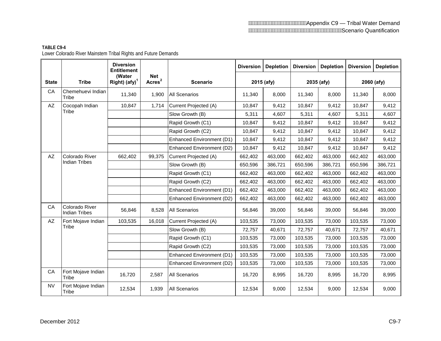### Appendix C9 — Tribal Water Demand Scenario Quantification

#### **TABLE C9-4**  Lower Colorado River Mainstem Tribal Rights and Future Demands

|                      |                                        | <b>Diversion</b><br><b>Entitlement</b> |                           |                           | <b>Diversion</b> | <b>Depletion</b> | <b>Diversion</b> | <b>Depletion</b> | <b>Diversion</b> | <b>Depletion</b> |
|----------------------|----------------------------------------|----------------------------------------|---------------------------|---------------------------|------------------|------------------|------------------|------------------|------------------|------------------|
| <b>State</b>         | <b>Tribe</b>                           | (Water<br>Right) $(afy)^1$             | Net<br>Acres <sup>2</sup> | <b>Scenario</b>           |                  | 2015 (afy)       |                  | 2035 (afy)       | 2060 (afy)       |                  |
| CA                   | Chemehuevi Indian<br>Tribe             | 11,340                                 | 1,900                     | <b>All Scenarios</b>      | 11,340           | 8,000            | 11,340           | 8,000            | 11,340           | 8,000            |
| AZ                   | Cocopah Indian                         | 10.847                                 | 1,714                     | Current Projected (A)     | 10,847           | 9,412            | 10,847           | 9,412            | 10,847           | 9,412            |
|                      | Tribe                                  |                                        |                           | Slow Growth (B)           | 5,311            | 4,607            | 5,311            | 4,607            | 5,311            | 4,607            |
|                      |                                        |                                        |                           | Rapid Growth (C1)         | 10,847           | 9,412            | 10,847           | 9,412            | 10,847           | 9,412            |
|                      |                                        |                                        |                           | Rapid Growth (C2)         | 10,847           | 9,412            | 10,847           | 9,412            | 10,847           | 9,412            |
|                      |                                        |                                        |                           | Enhanced Environment (D1) | 10,847           | 9,412            | 10,847           | 9,412            | 10,847           | 9,412            |
|                      |                                        |                                        |                           | Enhanced Environment (D2) | 10,847           | 9,412            | 10,847           | 9,412            | 10,847           | 9,412            |
| AZ<br>Colorado River | 662,402                                | 99,375                                 | Current Projected (A)     | 662,402                   | 463,000          | 662,402          | 463,000          | 662,402          | 463,000          |                  |
| <b>Indian Tribes</b> |                                        |                                        |                           | Slow Growth (B)           | 650,596          | 386,721          | 650,596          | 386,721          | 650,596          | 386,721          |
|                      |                                        |                                        |                           | Rapid Growth (C1)         | 662,402          | 463,000          | 662,402          | 463,000          | 662,402          | 463,000          |
|                      |                                        |                                        |                           | Rapid Growth (C2)         | 662,402          | 463,000          | 662,402          | 463,000          | 662,402          | 463,000          |
|                      |                                        |                                        |                           | Enhanced Environment (D1) | 662,402          | 463,000          | 662,402          | 463,000          | 662,402          | 463,000          |
|                      |                                        |                                        |                           | Enhanced Environment (D2) | 662,402          | 463,000          | 662,402          | 463,000          | 662,402          | 463,000          |
| CA                   | Colorado River<br><b>Indian Tribes</b> | 56,846                                 | 8,528                     | All Scenarios             | 56,846           | 39,000           | 56,846           | 39,000           | 56,846           | 39,000           |
| AZ                   | Fort Mojave Indian                     | 103,535                                | 16,018                    | Current Projected (A)     | 103,535          | 73,000           | 103,535          | 73,000           | 103,535          | 73,000           |
|                      | Tribe                                  |                                        |                           | Slow Growth (B)           | 72,757           | 40,671           | 72,757           | 40,671           | 72,757           | 40,671           |
|                      |                                        |                                        |                           | Rapid Growth (C1)         | 103,535          | 73,000           | 103,535          | 73,000           | 103,535          | 73,000           |
|                      |                                        |                                        |                           | Rapid Growth (C2)         | 103,535          | 73,000           | 103,535          | 73,000           | 103,535          | 73,000           |
|                      |                                        |                                        |                           | Enhanced Environment (D1) | 103,535          | 73,000           | 103,535          | 73,000           | 103,535          | 73,000           |
|                      |                                        |                                        |                           | Enhanced Environment (D2) | 103,535          | 73,000           | 103,535          | 73,000           | 103,535          | 73,000           |
| CA                   | Fort Mojave Indian<br>Tribe            | 16,720                                 | 2,587                     | All Scenarios             | 16,720           | 8,995            | 16,720           | 8,995            | 16,720           | 8,995            |
| <b>NV</b>            | Fort Mojave Indian<br>Tribe            | 12,534                                 | 1,939                     | All Scenarios             | 12,534           | 9,000            | 12,534           | 9,000            | 12,534           | 9,000            |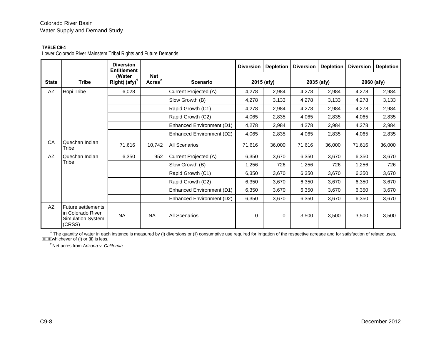### **TABLE C9-4**

Lower Colorado River Mainstem Tribal Rights and Future Demands

|              |                                                                        | <b>Diversion</b><br><b>Entitlement</b>      |                            |                           | <b>Diversion</b> | Depletion  | <b>Diversion</b> | <b>Depletion</b> | <b>Diversion</b> | <b>Depletion</b> |
|--------------|------------------------------------------------------------------------|---------------------------------------------|----------------------------|---------------------------|------------------|------------|------------------|------------------|------------------|------------------|
| <b>State</b> | <b>Tribe</b>                                                           | (Water<br>Right) $\left($ afy $\right)^{1}$ | Net<br>Arcres <sup>2</sup> | <b>Scenario</b>           |                  | 2015 (afy) |                  | 2035 (afy)       |                  | 2060 (afy)       |
| AZ           | Hopi Tribe                                                             | 6,028                                       |                            | Current Projected (A)     | 4,278            | 2,984      | 4,278            | 2,984            | 4,278            | 2,984            |
|              |                                                                        |                                             |                            | Slow Growth (B)           | 4,278            | 3,133      | 4,278            | 3,133            | 4,278            | 3,133            |
|              |                                                                        |                                             |                            | Rapid Growth (C1)         | 4,278            | 2,984      | 4,278            | 2,984            | 4,278            | 2,984            |
|              |                                                                        |                                             |                            | Rapid Growth (C2)         | 4,065            | 2,835      | 4,065            | 2,835            | 4,065            | 2,835            |
|              |                                                                        |                                             |                            | Enhanced Environment (D1) | 4,278            | 2,984      | 4,278            | 2,984            | 4,278            | 2,984            |
|              |                                                                        |                                             |                            | Enhanced Environment (D2) | 4,065            | 2,835      | 4,065            | 2,835            | 4,065            | 2,835            |
| CA           | Quechan Indian<br>Tribe                                                | 71,616                                      | 10,742                     | <b>All Scenarios</b>      | 71,616           | 36,000     | 71,616           | 36,000           | 71,616           | 36,000           |
| AZ           | Quechan Indian                                                         | 6,350                                       | 952                        | Current Projected (A)     | 6,350            | 3,670      | 6,350            | 3,670            | 6,350            | 3,670            |
|              | Tribe                                                                  |                                             |                            | Slow Growth (B)           | 1,256            | 726        | 1,256            | 726              | 1,256            | 726              |
|              |                                                                        |                                             |                            | Rapid Growth (C1)         | 6,350            | 3,670      | 6,350            | 3,670            | 6,350            | 3,670            |
|              |                                                                        |                                             |                            | Rapid Growth (C2)         | 6,350            | 3,670      | 6,350            | 3,670            | 6,350            | 3,670            |
|              |                                                                        |                                             |                            | Enhanced Environment (D1) | 6,350            | 3,670      | 6,350            | 3,670            | 6,350            | 3,670            |
|              |                                                                        |                                             |                            | Enhanced Environment (D2) | 6,350            | 3,670      | 6,350            | 3,670            | 6,350            | 3,670            |
| AZ           | Future settlements<br>in Colorado River<br>Simulation System<br>(CRSS) | <b>NA</b>                                   | <b>NA</b>                  | <b>All Scenarios</b>      | 0                | 0          | 3,500            | 3,500            | 3,500            | 3,500            |

 $1$  The quantity of water in each instance is measured by (i) diversions or (ii) consumptive use required for irrigation of the respective acreage and for satisfaction of related uses, whichever of (i) or (ii) is less.

2 Net acres from *Arizona v. California*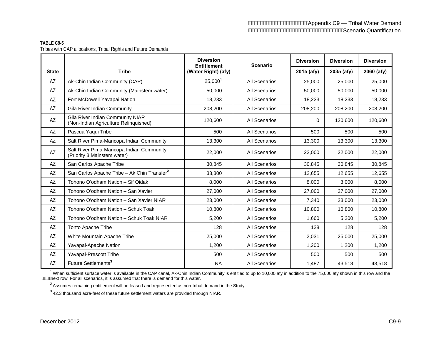# **TABLE C9-5**

Tribes with CAP allocations, Tribal Rights and Future Demands

|              |                                                                           | <b>Diversion</b><br><b>Entitlement</b> | <b>Scenario</b>      | <b>Diversion</b> | <b>Diversion</b> | <b>Diversion</b> |
|--------------|---------------------------------------------------------------------------|----------------------------------------|----------------------|------------------|------------------|------------------|
| <b>State</b> | <b>Tribe</b>                                                              | (Water Right) (afy)                    |                      | 2015 (afy)       | 2035 (afy)       | 2060 (afy)       |
| AZ           | Ak-Chin Indian Community (CAP)                                            | 25,0001                                | All Scenarios        | 25,000           | 25,000           | 25,000           |
| AZ           | Ak-Chin Indian Community (Mainstem water)                                 | 50,000                                 | <b>All Scenarios</b> | 50,000           | 50,000           | 50,000           |
| AZ           | Fort McDowell Yavapai Nation                                              | 18,233                                 | <b>All Scenarios</b> | 18,233           | 18,233           | 18,233           |
| AZ           | <b>Gila River Indian Community</b>                                        | 208,200                                | <b>All Scenarios</b> | 208,200          | 208,200          | 208,200          |
| AZ           | Gila River Indian Community NIAR<br>(Non-Indian Agriculture Relinquished) | 120.600                                | All Scenarios        | $\Omega$         | 120.600          | 120.600          |
| AZ           | Pascua Yaqui Tribe                                                        | 500                                    | <b>All Scenarios</b> | 500              | 500              | 500              |
| AZ           | Salt River Pima-Maricopa Indian Community                                 | 13,300                                 | <b>All Scenarios</b> | 13,300           | 13,300           | 13,300           |
| AZ           | Salt River Pima-Maricopa Indian Community<br>(Priority 3 Mainstem water)  | 22,000                                 | <b>All Scenarios</b> | 22,000           | 22,000           | 22,000           |
| AZ           | San Carlos Apache Tribe                                                   | 30,845                                 | All Scenarios        | 30,845           | 30,845           | 30,845           |
| AZ           | San Carlos Apache Tribe - Ak Chin Transfer <sup>2</sup>                   | 33,300                                 | <b>All Scenarios</b> | 12,655           | 12,655           | 12,655           |
| AZ           | Tohono O'odham Nation - Sif Oidak                                         | 8,000                                  | All Scenarios        | 8,000            | 8,000            | 8,000            |
| AZ           | Tohono O'odham Nation - San Xavier                                        | 27,000                                 | All Scenarios        | 27,000           | 27,000           | 27,000           |
| AZ           | Tohono O'odham Nation - San Xavier NIAR                                   | 23,000                                 | <b>All Scenarios</b> | 7,340            | 23,000           | 23,000           |
| AZ           | Tohono O'odham Nation - Schuk Toak                                        | 10,800                                 | <b>All Scenarios</b> | 10,800           | 10,800           | 10,800           |
| AZ           | Tohono O'odham Nation - Schuk Toak NIAR                                   | 5,200                                  | <b>All Scenarios</b> | 1,660            | 5,200            | 5,200            |
| AZ           | <b>Tonto Apache Tribe</b>                                                 | 128                                    | All Scenarios        | 128              | 128              | 128              |
| AZ           | White Mountain Apache Tribe                                               | 25,000                                 | All Scenarios        | 2,031            | 25,000           | 25,000           |
| AZ           | Yavapai-Apache Nation                                                     | 1,200                                  | <b>All Scenarios</b> | 1,200            | 1,200            | 1,200            |
| AZ           | Yavapai-Prescott Tribe                                                    | 500                                    | <b>All Scenarios</b> | 500              | 500              | 500              |
| AZ           | Future Settlements <sup>3</sup>                                           | <b>NA</b>                              | All Scenarios        | 1.487            | 43,518           | 43,518           |

 $1$  When sufficient surface water is available in the CAP canal, Ak-Chin Indian Community is entitled to up to 10,000 afy in addition to the 75,000 afy shown in this row and the A. A. A. The set row. For all scenarios, it is assumed that there is demand for this water.

 $2$  Assumes remaining entitlement will be leased and represented as non-tribal demand in the Study.

 $3$  42.3 thousand acre-feet of these future settlement waters are provided through NIAR.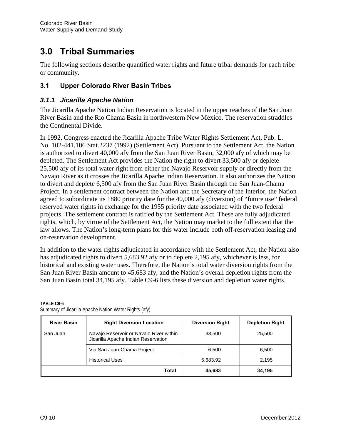# **3.0 Tribal Summaries**

The following sections describe quantified water rights and future tribal demands for each tribe or community.

# **3.1 Upper Colorado River Basin Tribes**

## *3.1.1 Jicarilla Apache Nation*

The Jicarilla Apache Nation Indian Reservation is located in the upper reaches of the San Juan River Basin and the Rio Chama Basin in northwestern New Mexico. The reservation straddles the Continental Divide.

In 1992, Congress enacted the Jicarilla Apache Tribe Water Rights Settlement Act, Pub. L. No. 102-441,106 Stat.2237 (1992) (Settlement Act). Pursuant to the Settlement Act, the Nation is authorized to divert 40,000 afy from the San Juan River Basin, 32,000 afy of which may be depleted. The Settlement Act provides the Nation the right to divert 33,500 afy or deplete 25,500 afy of its total water right from either the Navajo Reservoir supply or directly from the Navajo River as it crosses the Jicarilla Apache Indian Reservation. It also authorizes the Nation to divert and deplete 6,500 afy from the San Juan River Basin through the San Juan-Chama Project. In a settlement contract between the Nation and the Secretary of the Interior, the Nation agreed to subordinate its 1880 priority date for the 40,000 afy (diversion) of "future use" federal reserved water rights in exchange for the 1955 priority date associated with the two federal projects. The settlement contract is ratified by the Settlement Act. These are fully adjudicated rights, which, by virtue of the Settlement Act, the Nation may market to the full extent that the law allows. The Nation's long-term plans for this water include both off-reservation leasing and on-reservation development.

In addition to the water rights adjudicated in accordance with the Settlement Act, the Nation also has adjudicated rights to divert 5,683.92 afy or to deplete 2,195 afy, whichever is less, for historical and existing water uses. Therefore, the Nation's total water diversion rights from the San Juan River Basin amount to 45,683 afy, and the Nation's overall depletion rights from the San Juan Basin total 34,195 afy. Table C9-6 lists these diversion and depletion water rights.

| <b>River Basin</b> | <b>Right Diversion Location</b>                                                | <b>Diversion Right</b> | <b>Depletion Right</b> |
|--------------------|--------------------------------------------------------------------------------|------------------------|------------------------|
| San Juan           | Navajo Reservoir or Navajo River within<br>Jicarilla Apache Indian Reservation | 33,500                 | 25,500                 |
|                    | Via San Juan-Chama Project                                                     | 6.500                  | 6.500                  |
|                    | <b>Historical Uses</b>                                                         | 5,683.92               | 2.195                  |
|                    | <b>Total</b>                                                                   | 45.683                 | 34.195                 |

#### **TABLE C9-6**  Summary of Jicarilla Apache Nation Water Rights (afy)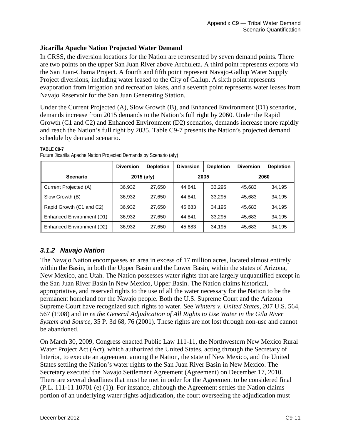# **Jicarilla Apache Nation Projected Water Demand**

In CRSS, the diversion locations for the Nation are represented by seven demand points. There are two points on the upper San Juan River above Archuleta. A third point represents exports via the San Juan-Chama Project. A fourth and fifth point represent Navajo-Gallup Water Supply Project diversions, including water leased to the City of Gallup. A sixth point represents evaporation from irrigation and recreation lakes, and a seventh point represents water leases from Navajo Reservoir for the San Juan Generating Station.

Under the Current Projected (A), Slow Growth (B), and Enhanced Environment (D1) scenarios, demands increase from 2015 demands to the Nation's full right by 2060. Under the Rapid Growth (C1 and C2) and Enhanced Environment (D2) scenarios, demands increase more rapidly and reach the Nation's full right by 2035. Table C9-7 presents the Nation's projected demand schedule by demand scenario.

|                           | <b>Diversion</b> | <b>Depletion</b> | <b>Diversion</b> | <b>Depletion</b> | <b>Diversion</b> | <b>Depletion</b> |  |
|---------------------------|------------------|------------------|------------------|------------------|------------------|------------------|--|
| <b>Scenario</b>           | 2015 (afy)       |                  |                  | 2035             | 2060             |                  |  |
| Current Projected (A)     | 36,932           | 27,650           | 44.841           | 33,295           | 45,683           | 34,195           |  |
| Slow Growth (B)           | 36,932           | 27,650           | 44.841           | 33.295           | 45,683           | 34.195           |  |
| Rapid Growth (C1 and C2)  | 36,932           | 27,650           | 45,683           | 34.195           | 45,683           | 34.195           |  |
| Enhanced Environment (D1) | 36,932           | 27,650           | 44,841           | 33.295           | 45,683           | 34,195           |  |
| Enhanced Environment (D2) | 36,932           | 27,650           | 45,683           | 34,195           | 45,683           | 34,195           |  |

### Future Jicarilla Apache Nation Projected Demands by Scenario (afy)

# *3.1.2 Navajo Nation*

**TABLE C9-7** 

The Navajo Nation encompasses an area in excess of 17 million acres, located almost entirely within the Basin, in both the Upper Basin and the Lower Basin, within the states of Arizona, New Mexico, and Utah. The Nation possesses water rights that are largely unquantified except in the San Juan River Basin in New Mexico, Upper Basin. The Nation claims historical, appropriative, and reserved rights to the use of all the water necessary for the Nation to be the permanent homeland for the Navajo people. Both the U.S. Supreme Court and the Arizona Supreme Court have recognized such rights to water. See *Winters v. United States,* 207 U.S. 564, 567 (1908) and *In re the General Adjudication of All Rights to Use Water in the Gila River System and Source,* 35 P. 3d 68, 76 (2001). These rights are not lost through non-use and cannot be abandoned.

On March 30, 2009, Congress enacted Public Law 111-11, the Northwestern New Mexico Rural Water Project Act (Act), which authorized the United States, acting through the Secretary of Interior, to execute an agreement among the Nation, the state of New Mexico, and the United States settling the Nation's water rights to the San Juan River Basin in New Mexico. The Secretary executed the Navajo Settlement Agreement (Agreement) on December 17, 2010. There are several deadlines that must be met in order for the Agreement to be considered final (P.L. 111-11 10701 (e) (1)). For instance, although the Agreement settles the Nation claims portion of an underlying water rights adjudication, the court overseeing the adjudication must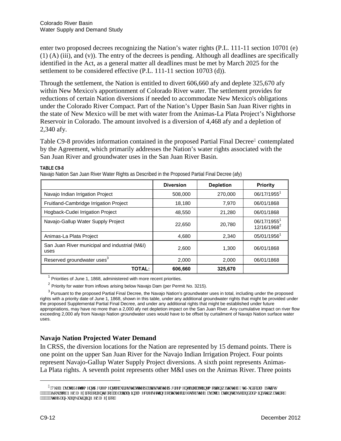enter two proposed decrees recognizing the Nation's water rights (P.L. 111-11 section 10701 (e) (1) (A) (iii), and (v)). The entry of the decrees is pending. Although all deadlines are specifically identified in the Act, as a general matter all deadlines must be met by March 2025 for the settlement to be considered effective (P.L. 111-11 section 10703 (d)).

Through the settlement, the Nation is entitled to divert 606,660 afy and deplete 325,670 afy within New Mexico's apportionment of Colorado River water. The settlement provides for reductions of certain Nation diversions if needed to accommodate New Mexico's obligations under the Colorado River Compact. Part of the Nation's Upper Basin San Juan River rights in the state of New Mexico will be met with water from the Animas-La Plata Project's Nighthorse Reservoir in Colorado. The amount involved is a diversion of 4,468 afy and a depletion of 2,340 afy.

Table C9-8 provides information contained in the proposed Partial Final Decree<sup>4</sup> contemplated by the Agreement, which primarily addresses the Nation's water rights associated with the San Juan River and groundwater uses in the San Juan River Basin.

|                                                       | <b>Diversion</b> | <b>Depletion</b> | Priority                              |
|-------------------------------------------------------|------------------|------------------|---------------------------------------|
| Navajo Indian Irrigation Project                      | 508,000          | 270,000          | 06/17/19551                           |
| Fruitland-Cambridge Irrigation Project                | 18,180           | 7,970            | 06/01/1868                            |
| Hogback-Cudei Irrigation Project                      | 48,550           | 21,280           | 06/01/1868                            |
| Navajo-Gallup Water Supply Project                    | 22,650           | 20,780           | 06/17/1955<br>12/16/1968 <sup>2</sup> |
| Animas-La Plata Project                               | 4,680            | 2,340            | 05/01/1956                            |
| San Juan River municipal and industrial (M&I)<br>uses | 2.600            | 1.300            | 06/01/1868                            |
| Reserved groundwater uses <sup>3</sup>                | 2,000            | 2,000            | 06/01/1868                            |
| <b>TOTAL:</b>                                         | 606,660          | 325,670          |                                       |

**TABLE C9-8** 

Navajo Nation San Juan River Water Rights as Described in the Proposed Partial Final Decree (afy)

 $1$  Priorities of June 1, 1868, administered with more recent priorities.

 $2$  Priority for water from inflows arising below Navajo Dam (per Permit No. 3215).

<sup>3</sup> Pursuant to the proposed Partial Final Decree, the Navajo Nation's groundwater uses in total, including under the proposed rights with a priority date of June 1, 1868, shown in this table, under any additional groundwater rights that might be provided under the proposed Supplemental Partial Final Decree, and under any additional rights that might be established under future appropriations, may have no more than a 2,000 afy net depletion impact on the San Juan River. Any cumulative impact on river flow exceeding 2,000 afy from Navajo Nation groundwater uses would have to be offset by curtailment of Navajo Nation surface water uses.

## **Navajo Nation Projected Water Demand**

In CRSS, the diversion locations for the Nation are represented by 15 demand points. There is one point on the upper San Juan River for the Navajo Indian Irrigation Project. Four points represent Navajo-Gallup Water Supply Project diversions. A sixth point represents Animas-La Plata rights. A seventh point represents other M&I uses on the Animas River. Three points

<span id="page-13-0"></span>&RXUWRI1HZ0H[LFRIRUHQWU\RID3DUWLDO)LQDO'HFUHHVHWWLQJIRUWKWKHULJKWVRIWKH1DYDMR1DWLRQWRXVHDQGDGPLQLVWHUZDWHURI """"""" y g'Ucp'Lwcp'Dcukp'kp'P gy 'O gzleq0'

 $\overline{a}$ 

<sup>&</sup>lt;sup>4</sup>"Vj g'P cxclq"Ugwtgo gpv'Ci tggo gpv'tgs wktgu'yj cv'yj g'r ctwgu'vq'yj g'Ci tggo gpv'lktg'c'lqlpv'o qwqp'y kyj "yj g'33yj "Lwflekcn'Fluntlev"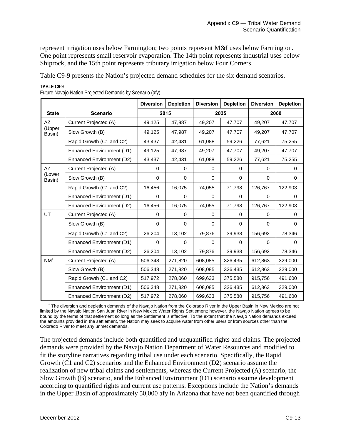represent irrigation uses below Farmington; two points represent M&I uses below Farmington. One point represents small reservoir evaporation. The 14th point represents industrial uses below Shiprock, and the 15th point represents tributary irrigation below Four Corners.

Table C9-9 presents the Nation's projected demand schedules for the six demand scenarios.

|                  |                           | <b>Diversion</b> | <b>Depletion</b> | <b>Diversion</b> | <b>Depletion</b> | <b>Diversion</b> | <b>Depletion</b> |  |
|------------------|---------------------------|------------------|------------------|------------------|------------------|------------------|------------------|--|
| <b>State</b>     | <b>Scenario</b>           | 2015             |                  |                  | 2035             | 2060             |                  |  |
| AZ               | Current Projected (A)     | 49,125           | 47,987           | 49,207           | 47,707           | 49,207           | 47,707           |  |
| (Upper<br>Basin) | Slow Growth (B)           | 49,125           | 47,987           | 49,207           | 47,707           | 49,207           | 47,707           |  |
|                  | Rapid Growth (C1 and C2)  | 43,437           | 42,431           | 61,088           | 59,226           | 77,621           | 75,255           |  |
|                  | Enhanced Environment (D1) | 49,125           | 47,987           | 49,207           | 47,707           | 49,207           | 47,707           |  |
|                  | Enhanced Environment (D2) | 43,437           | 42,431           | 61,088           | 59,226           | 77,621           | 75,255           |  |
| AZ               | Current Projected (A)     | 0                | $\Omega$         | $\Omega$         | $\Omega$         | $\Omega$         | 0                |  |
| (Lower<br>Basin) | Slow Growth (B)           | 0                | $\Omega$         | $\mathbf 0$      | $\mathbf 0$      | $\mathbf 0$      | 0                |  |
|                  | Rapid Growth (C1 and C2)  | 16,456           | 16,075           | 74,055           | 71,798           | 126,767          | 122,903          |  |
|                  | Enhanced Environment (D1) | $\Omega$         | $\Omega$         | $\Omega$         | $\Omega$         | $\Omega$         | $\Omega$         |  |
|                  | Enhanced Environment (D2) | 16,456           | 16,075           | 74,055           | 71,798           | 126,767          | 122,903          |  |
| UT               | Current Projected (A)     | $\Omega$         | $\Omega$         | $\Omega$         | $\Omega$         | 0                | 0                |  |
|                  | Slow Growth (B)           | $\Omega$         | $\Omega$         | $\Omega$         | $\Omega$         | $\Omega$         | $\Omega$         |  |
|                  | Rapid Growth (C1 and C2)  | 26,204           | 13,102           | 79,876           | 39,938           | 156,692          | 78,346           |  |
|                  | Enhanced Environment (D1) | $\Omega$         | $\Omega$         | $\Omega$         | $\Omega$         | $\Omega$         | $\Omega$         |  |
|                  | Enhanced Environment (D2) | 26,204           | 13,102           | 79,876           | 39,938           | 156,692          | 78,346           |  |
| NM <sup>1</sup>  | Current Projected (A)     | 506,348          | 271,820          | 608,085          | 326,435          | 612,863          | 329,000          |  |
|                  | Slow Growth (B)           | 506,348          | 271,820          | 608,085          | 326,435          | 612,863          | 329,000          |  |
|                  | Rapid Growth (C1 and C2)  | 517,972          | 278,060          | 699,633          | 375,580          | 915,756          | 491,600          |  |
|                  | Enhanced Environment (D1) | 506,348          | 271,820          | 608,085          | 326,435          | 612,863          | 329,000          |  |
|                  | Enhanced Environment (D2) | 517,972          | 278,060          | 699,633          | 375,580          | 915,756          | 491,600          |  |

**TABLE C9-9** 

Future Navajo Nation Projected Demands by Scenario (afy)

 $1$  The diversion and depletion demands of the Navajo Nation from the Colorado River in the Upper Basin in New Mexico are not limited by the Navajo Nation San Juan River in New Mexico Water Rights Settlement; however, the Navajo Nation agrees to be bound by the terms of that settlement so long as the Settlement is effective. To the extent that the Navajo Nation demands exceed the amounts provided in the settlement, the Nation may seek to acquire water from other users or from sources other than the Colorado River to meet any unmet demands.

The projected demands include both quantified and unquantified rights and claims. The projected demands were provided by the Navajo Nation Department of Water Resources and modified to fit the storyline narratives regarding tribal use under each scenario. Specifically, the Rapid Growth (C1 and C2) scenarios and the Enhanced Environment (D2) scenario assume the realization of new tribal claims and settlements, whereas the Current Projected (A) scenario, the Slow Growth (B) scenario, and the Enhanced Environment (D1) scenario assume development according to quantified rights and current use patterns. Exceptions include the Nation's demands in the Upper Basin of approximately 50,000 afy in Arizona that have not been quantified through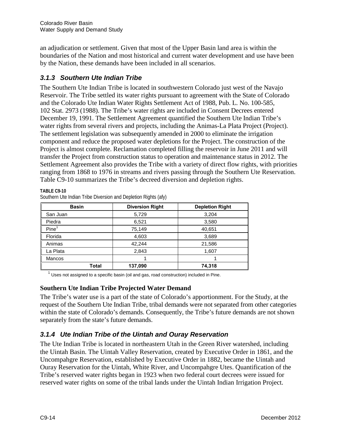an adjudication or settlement. Given that most of the Upper Basin land area is within the boundaries of the Nation and most historical and current water development and use have been by the Nation, these demands have been included in all scenarios.

# *3.1.3 Southern Ute Indian Tribe*

The Southern Ute Indian Tribe is located in southwestern Colorado just west of the Navajo Reservoir. The Tribe settled its water rights pursuant to agreement with the State of Colorado and the Colorado Ute Indian Water Rights Settlement Act of 1988, Pub. L. No. 100-585, 102 Stat. 2973 (1988). The Tribe's water rights are included in Consent Decrees entered December 19, 1991. The Settlement Agreement quantified the Southern Ute Indian Tribe's water rights from several rivers and projects, including the Animas-La Plata Project (Project). The settlement legislation was subsequently amended in 2000 to eliminate the irrigation component and reduce the proposed water depletions for the Project. The construction of the Project is almost complete. Reclamation completed filling the reservoir in June 2011 and will transfer the Project from construction status to operation and maintenance status in 2012. The Settlement Agreement also provides the Tribe with a variety of direct flow rights, with priorities ranging from 1868 to 1976 in streams and rivers passing through the Southern Ute Reservation. Table C9-10 summarizes the Tribe's decreed diversion and depletion rights.

| <b>Basin</b>      | <b>Diversion Right</b> | <b>Depletion Right</b> |  |
|-------------------|------------------------|------------------------|--|
| San Juan          | 5,729                  | 3,204                  |  |
| Piedra            | 6,521                  | 3,580                  |  |
| Pine <sup>1</sup> | 75,149                 | 40,651                 |  |
| Florida           | 4,603                  | 3,689                  |  |
| Animas            | 42,244                 | 21,586                 |  |
| La Plata          | 2,843                  | 1,607                  |  |
| <b>Mancos</b>     |                        |                        |  |
| Total             | 137,090                | 74,318                 |  |

**TABLE C9-10** Southern Ute Indian Tribe Diversion and Depletion Rights (afy)

 $1$  Uses not assigned to a specific basin (oil and gas, road construction) included in Pine.

## **Southern Ute Indian Tribe Projected Water Demand**

The Tribe's water use is a part of the state of Colorado's apportionment. For the Study, at the request of the Southern Ute Indian Tribe, tribal demands were not separated from other categories within the state of Colorado's demands. Consequently, the Tribe's future demands are not shown separately from the state's future demands.

# *3.1.4 Ute Indian Tribe of the Uintah and Ouray Reservation*

The Ute Indian Tribe is located in northeastern Utah in the Green River watershed, including the Uintah Basin. The Uintah Valley Reservation, created by Executive Order in 1861, and the Uncompahgre Reservation, established by Executive Order in 1882, became the Uintah and Ouray Reservation for the Uintah, White River, and Uncompahgre Utes. Quantification of the Tribe's reserved water rights began in 1923 when two federal court decrees were issued for reserved water rights on some of the tribal lands under the Uintah Indian Irrigation Project.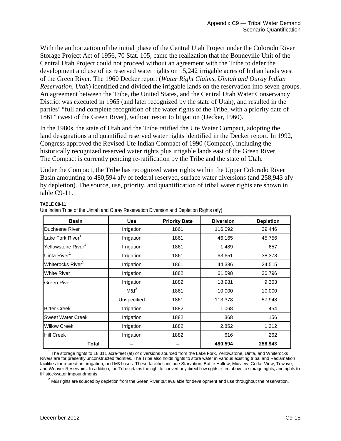With the authorization of the initial phase of the Central Utah Project under the Colorado River Storage Project Act of 1956, 70 Stat. 105, came the realization that the Bonneville Unit of the Central Utah Project could not proceed without an agreement with the Tribe to defer the development and use of its reserved water rights on 15,242 irrigable acres of Indian lands west of the Green River. The 1960 Decker report (*Water Right Claims, Uintah and Ouray Indian Reservation, Utah*) identified and divided the irrigable lands on the reservation into seven groups. An agreement between the Tribe, the United States, and the Central Utah Water Conservancy District was executed in 1965 (and later recognized by the state of Utah), and resulted in the parties' "full and complete recognition of the water rights of the Tribe, with a priority date of 1861" (west of the Green River), without resort to litigation (Decker, 1960).

In the 1980s, the state of Utah and the Tribe ratified the Ute Water Compact, adopting the land designations and quantified reserved water rights identified in the Decker report. In 1992, Congress approved the Revised Ute Indian Compact of 1990 (Compact), including the historically recognized reserved water rights plus irrigable lands east of the Green River. The Compact is currently pending re-ratification by the Tribe and the state of Utah.

Under the Compact, the Tribe has recognized water rights within the Upper Colorado River Basin amounting to 480,594 afy of federal reserved, surface water diversions (and 258,943 afy by depletion). The source, use, priority, and quantification of tribal water rights are shown in table C9-11.

#### **TABLE C9-11**

| <b>Basin</b>                   | <b>Use</b>  | <b>Priority Date</b> | <b>Diversion</b> | <b>Depletion</b> |
|--------------------------------|-------------|----------------------|------------------|------------------|
| Duchesne River                 | Irrigation  | 1861                 | 116,092          | 39,446           |
| Lake Fork River <sup>1</sup>   | Irrigation  | 1861                 | 46,165           | 45,756           |
| Yellowstone River <sup>1</sup> | Irrigation  | 1861                 | 1,489            | 657              |
| Uinta River <sup>1</sup>       | Irrigation  | 1861                 | 63,651           | 38,378           |
| Whiterocks River <sup>1</sup>  | Irrigation  | 1861                 | 44,336           | 24,515           |
| <b>White River</b>             | Irrigation  | 1882                 | 61,598           | 30,796           |
| <b>Green River</b>             | Irrigation  | 1882                 | 18,981           | 9,363            |
|                                | $M\&R^2$    | 1861                 | 10,000           | 10,000           |
|                                | Unspecified | 1861                 | 113,378          | 57,948           |
| <b>Bitter Creek</b>            | Irrigation  | 1882                 | 1,068            | 454              |
| <b>Sweet Water Creek</b>       | Irrigation  | 1882                 | 368              | 156              |
| <b>Willow Creek</b>            | Irrigation  | 1882                 | 2,852            | 1,212            |
| <b>Hill Creek</b>              | Irrigation  | 1882                 | 616              | 262              |
| <b>Total</b>                   |             |                      | 480,594          | 258,943          |

Ute Indian Tribe of the Uintah and Ouray Reservation Diversion and Depletion Rights (afy)

 $1$  The storage rights to 18,311 acre-feet (af) of diversions sourced from the Lake Fork, Yellowstone, Uinta, and Whiterocks Rivers are for presently unconstructed facilities. The Tribe also holds rights to store water in various existing tribal and Reclamation facilities for recreation, irrigation, and M&I uses. These facilities include Starvation, Bottle Hollow, Midview, Cedar View, Towave, and Weaver Reservoirs. In addition, the Tribe retains the right to convert any direct flow rights listed above to storage rights, and rights to fill stockwater impoundments.

 $2$  M&I rights are sourced by depletion from the Green River but available for development and use throughout the reservation.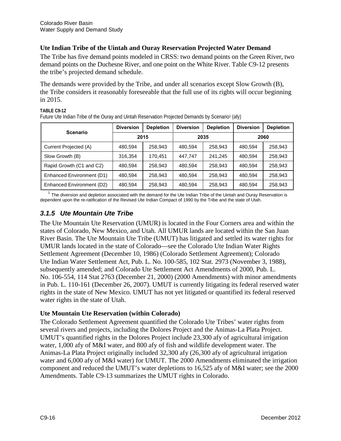# **Ute Indian Tribe of the Uintah and Ouray Reservation Projected Water Demand**

The Tribe has five demand points modeled in CRSS: two demand points on the Green River, two demand points on the Duchesne River, and one point on the White River. Table C9-12 presents the tribe's projected demand schedule.

The demands were provided by the Tribe, and under all scenarios except Slow Growth (B), the Tribe considers it reasonably foreseeable that the full use of its rights will occur beginning in 2015.

| <b>Scenario</b>           | <b>Diversion</b> | <b>Depletion</b> | <b>Diversion</b> | <b>Depletion</b> | <b>Diversion</b> | <b>Depletion</b> |
|---------------------------|------------------|------------------|------------------|------------------|------------------|------------------|
|                           | 2015             |                  | 2035             |                  | 2060             |                  |
| Current Projected (A)     | 480,594          | 258,943          | 480.594          | 258,943          | 480.594          | 258,943          |
| Slow Growth (B)           | 316,354          | 170,451          | 447.747          | 241.245          | 480.594          | 258.943          |
| Rapid Growth (C1 and C2)  | 480.594          | 258.943          | 480.594          | 258,943          | 480.594          | 258.943          |
| Enhanced Environment (D1) | 480.594          | 258,943          | 480.594          | 258,943          | 480.594          | 258,943          |
| Enhanced Environment (D2) | 480,594          | 258,943          | 480,594          | 258,943          | 480,594          | 258,943          |

**TABLE C9-12** Future Ute Indian Tribe of the Ouray and Uintah Reservation Projected Demands by Scenario<sup>1</sup> (afy)

The diversion and depletion associated with the demand for the Ute Indian Tribe of the Uintah and Ouray Reservation is dependent upon the re-ratification of the Revised Ute Indian Compact of 1990 by the Tribe and the state of Utah.

# *3.1.5 Ute Mountain Ute Tribe*

The Ute Mountain Ute Reservation (UMUR) is located in the Four Corners area and within the states of Colorado, New Mexico, and Utah. All UMUR lands are located within the San Juan River Basin. The Ute Mountain Ute Tribe (UMUT) has litigated and settled its water rights for UMUR lands located in the state of Colorado—see the Colorado Ute Indian Water Rights Settlement Agreement (December 10, 1986) (Colorado Settlement Agreement); Colorado Ute Indian Water Settlement Act, Pub. L. No. 100-585, 102 Stat. 2973 (November 3, 1988), subsequently amended; and Colorado Ute Settlement Act Amendments of 2000, Pub. L. No. 106-554, 114 Stat 2763 (December 21, 2000) (2000 Amendments) with minor amendments in Pub. L. 110-161 (December 26, 2007). UMUT is currently litigating its federal reserved water rights in the state of New Mexico. UMUT has not yet litigated or quantified its federal reserved water rights in the state of Utah.

## **Ute Mountain Ute Reservation (within Colorado)**

The Colorado Settlement Agreement quantified the Colorado Ute Tribes' water rights from several rivers and projects, including the Dolores Project and the Animas-La Plata Project. UMUT's quantified rights in the Dolores Project include 23,300 afy of agricultural irrigation water, 1,000 afy of M&I water, and 800 afy of fish and wildlife development water. The Animas-La Plata Project originally included 32,300 afy (26,300 afy of agricultural irrigation water and 6,000 afy of M&I water) for UMUT. The 2000 Amendments eliminated the irrigation component and reduced the UMUT's water depletions to 16,525 afy of M&I water; see the 2000 Amendments. Table C9-13 summarizes the UMUT rights in Colorado.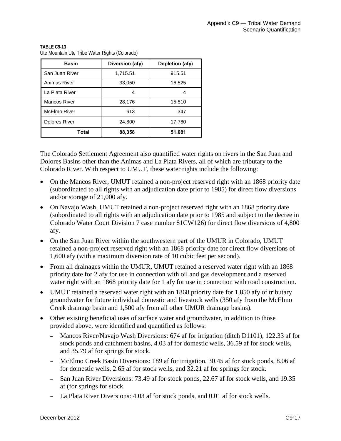| <b>Basin</b>   | Diversion (afy) | Depletion (afy) |
|----------------|-----------------|-----------------|
| San Juan River | 1,715.51        | 915.51          |
| Animas River   | 33,050          | 16,525          |
| La Plata River | 4               | 4               |
| Mancos River   | 28,176          | 15,510          |
| McElmo River   | 613             | 347             |
| Dolores River  | 24,800          | 17,780          |
| Total          | 88,358          | 51,081          |

**TABLE C9-13** Ute Mountain Ute Tribe Water Rights (Colorado)

The Colorado Settlement Agreement also quantified water rights on rivers in the San Juan and Dolores Basins other than the Animas and La Plata Rivers, all of which are tributary to the Colorado River. With respect to UMUT, these water rights include the following:

- On the Mancos River, UMUT retained a non-project reserved right with an 1868 priority date (subordinated to all rights with an adjudication date prior to 1985) for direct flow diversions and/or storage of 21,000 afy.
- On Navajo Wash, UMUT retained a non-project reserved right with an 1868 priority date (subordinated to all rights with an adjudication date prior to 1985 and subject to the decree in Colorado Water Court Division 7 case number 81CW126) for direct flow diversions of 4,800 afy.
- On the San Juan River within the southwestern part of the UMUR in Colorado, UMUT retained a non-project reserved right with an 1868 priority date for direct flow diversions of 1,600 afy (with a maximum diversion rate of 10 cubic feet per second).
- From all drainages within the UMUR, UMUT retained a reserved water right with an 1868 priority date for 2 afy for use in connection with oil and gas development and a reserved water right with an 1868 priority date for 1 afy for use in connection with road construction.
- UMUT retained a reserved water right with an 1868 priority date for 1,850 afy of tributary groundwater for future individual domestic and livestock wells (350 afy from the McElmo Creek drainage basin and 1,500 afy from all other UMUR drainage basins).
- Other existing beneficial uses of surface water and groundwater, in addition to those provided above, were identified and quantified as follows:
	- Mancos River/Navajo Wash Diversions: 674 af for irrigation (ditch D1101), 122.33 af for stock ponds and catchment basins, 4.03 af for domestic wells, 36.59 af for stock wells, and 35.79 af for springs for stock.
	- McElmo Creek Basin Diversions: 189 af for irrigation, 30.45 af for stock ponds, 8.06 af for domestic wells, 2.65 af for stock wells, and 32.21 af for springs for stock.
	- San Juan River Diversions: 73.49 af for stock ponds, 22.67 af for stock wells, and 19.35 af (for springs for stock.
	- La Plata River Diversions: 4.03 af for stock ponds, and 0.01 af for stock wells.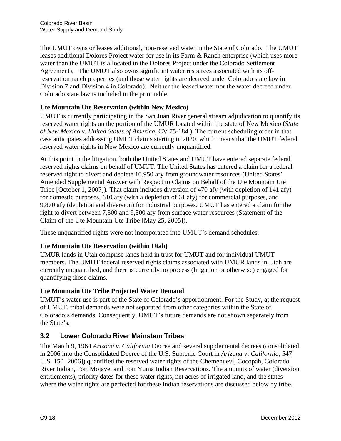The UMUT owns or leases additional, non-reserved water in the State of Colorado. The UMUT leases additional Dolores Project water for use in its Farm & Ranch enterprise (which uses more water than the UMUT is allocated in the Dolores Project under the Colorado Settlement Agreement). The UMUT also owns significant water resources associated with its offreservation ranch properties (and those water rights are decreed under Colorado state law in Division 7 and Division 4 in Colorado). Neither the leased water nor the water decreed under Colorado state law is included in the prior table.

# **Ute Mountain Ute Reservation (within New Mexico)**

UMUT is currently participating in the San Juan River general stream adjudication to quantify its reserved water rights on the portion of the UMUR located within the state of New Mexico (*State of New Mexico v. United States of America*, CV 75-184.). The current scheduling order in that case anticipates addressing UMUT claims starting in 2020, which means that the UMUT federal reserved water rights in New Mexico are currently unquantified.

At this point in the litigation, both the United States and UMUT have entered separate federal reserved rights claims on behalf of UMUT. The United States has entered a claim for a federal reserved right to divert and deplete 10,950 afy from groundwater resources (United States' Amended Supplemental Answer with Respect to Claims on Behalf of the Ute Mountain Ute Tribe [October 1, 2007]). That claim includes diversion of 470 afy (with depletion of 141 afy) for domestic purposes, 610 afy (with a depletion of 61 afy) for commercial purposes, and 9,870 afy (depletion and diversion) for industrial purposes. UMUT has entered a claim for the right to divert between 7,300 and 9,300 afy from surface water resources (Statement of the Claim of the Ute Mountain Ute Tribe [May 25, 2005]).

These unquantified rights were not incorporated into UMUT's demand schedules.

## **Ute Mountain Ute Reservation (within Utah)**

UMUR lands in Utah comprise lands held in trust for UMUT and for individual UMUT members. The UMUT federal reserved rights claims associated with UMUR lands in Utah are currently unquantified, and there is currently no process (litigation or otherwise) engaged for quantifying those claims.

## **Ute Mountain Ute Tribe Projected Water Demand**

UMUT's water use is part of the State of Colorado's apportionment. For the Study, at the request of UMUT, tribal demands were not separated from other categories within the State of Colorado's demands. Consequently, UMUT's future demands are not shown separately from the State's.

## **3.2 Lower Colorado River Mainstem Tribes**

The March 9, 1964 *Arizona v. California* Decree and several supplemental decrees (consolidated in 2006 into the Consolidated Decree of the U.S. Supreme Court in *Arizona* v. *California*, 547 U.S. 150 [2006]) quantified the reserved water rights of the Chemehuevi, Cocopah, Colorado River Indian, Fort Mojave, and Fort Yuma Indian Reservations. The amounts of water (diversion entitlements), priority dates for these water rights, net acres of irrigated land, and the states where the water rights are perfected for these Indian reservations are discussed below by tribe.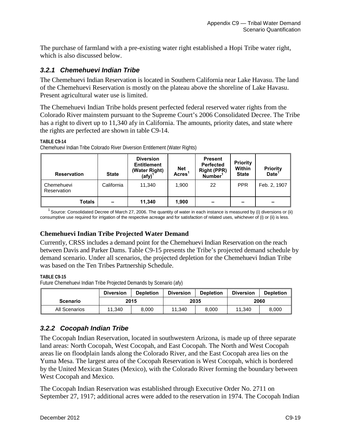The purchase of farmland with a pre-existing water right established a Hopi Tribe water right, which is also discussed below.

# *3.2.1 Chemehuevi Indian Tribe*

The Chemehuevi Indian Reservation is located in Southern California near Lake Havasu. The land of the Chemehuevi Reservation is mostly on the plateau above the shoreline of Lake Havasu. Present agricultural water use is limited.

The Chemehuevi Indian Tribe holds present perfected federal reserved water rights from the Colorado River mainstem pursuant to the Supreme Court's 2006 Consolidated Decree. The Tribe has a right to divert up to 11,340 afy in California. The amounts, priority dates, and state where the rights are perfected are shown in table C9-14.

#### **TABLE C9-14**

Chemehuevi Indian Tribe Colorado River Diversion Entitlement (Water Rights)

| <b>Reservation</b>        | <b>State</b>             | <b>Diversion</b><br><b>Entitlement</b><br>(Water Right)<br>$(\text{afy})^1$ | <b>Net</b><br><b>Acres</b> | <b>Present</b><br><b>Perfected</b><br><b>Right (PPR)</b><br>Number <sup>1</sup> | Priority<br><b>Within</b><br><b>State</b> | <b>Priority</b><br>Date <sup>1</sup> |
|---------------------------|--------------------------|-----------------------------------------------------------------------------|----------------------------|---------------------------------------------------------------------------------|-------------------------------------------|--------------------------------------|
| Chemehuevi<br>Reservation | California               | 11,340                                                                      | 1,900                      | 22                                                                              | <b>PPR</b>                                | Feb. 2, 1907                         |
| <b>Totals</b>             | $\overline{\phantom{a}}$ | 11,340                                                                      | 1.900                      | -                                                                               | $\overline{\phantom{a}}$                  | $\sim$                               |

<sup>1</sup> Source: Consolidated Decree of March 27, 2006. The quantity of water in each instance is measured by (i) diversions or (ii) consumptive use required for irrigation of the respective acreage and for satisfaction of related uses, whichever of (i) or (ii) is less.

### **Chemehuevi Indian Tribe Projected Water Demand**

Currently, CRSS includes a demand point for the Chemehuevi Indian Reservation on the reach between Davis and Parker Dams. Table C9-15 presents the Tribe's projected demand schedule by demand scenario. Under all scenarios, the projected depletion for the Chemehuevi Indian Tribe was based on the Ten Tribes Partnership Schedule.

#### **TABLE C9-15**

Future Chemehuevi Indian Tribe Projected Demands by Scenario (afy)

|                 | <b>Diversion</b> | <b>Depletion</b> | <b>Diversion</b> | <b>Depletion</b> | <b>Diversion</b> | <b>Depletion</b> |
|-----------------|------------------|------------------|------------------|------------------|------------------|------------------|
| <b>Scenario</b> | 2015             |                  | 2035             |                  | 2060             |                  |
| All Scenarios   | 11.340           | 8.000            | 11.340           | 8.000            | 11.340           | 8.000            |

## *3.2.2 Cocopah Indian Tribe*

The Cocopah Indian Reservation, located in southwestern Arizona, is made up of three separate land areas: North Cocopah, West Cocopah, and East Cocopah. The North and West Cocopah areas lie on floodplain lands along the Colorado River, and the East Cocopah area lies on the Yuma Mesa. The largest area of the Cocopah Reservation is West Cocopah, which is bordered by the United Mexican States (Mexico), with the Colorado River forming the boundary between West Cocopah and Mexico.

The Cocopah Indian Reservation was established through Executive Order No. 2711 on September 27, 1917; additional acres were added to the reservation in 1974. The Cocopah Indian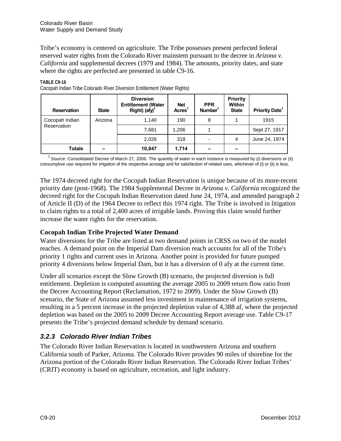Tribe's economy is centered on agriculture. The Tribe possesses present perfected federal reserved water rights from the Colorado River mainstem pursuant to the decree in *Arizona v. California* and supplemental decrees (1979 and 1984). The amounts, priority dates, and state where the rights are perfected are presented in table C9-16.

| <b>Reservation</b> | <b>State</b> | <b>Diversion</b><br><b>Entitlement (Water</b><br>$Right)$ (afy) <sup>1</sup> | <b>Net</b><br><b>Acres</b> | <b>PPR</b><br>Number | Priority<br>Within<br><b>State</b> | <b>Priority Date</b> |
|--------------------|--------------|------------------------------------------------------------------------------|----------------------------|----------------------|------------------------------------|----------------------|
| Cocopah Indian     | Arizona      | 1.140                                                                        | 190                        | 8                    |                                    | 1915                 |
| Reservation        |              | 7,681                                                                        | 1,206                      |                      |                                    | Sept 27, 1917        |
|                    |              | 2,026                                                                        | 318                        |                      | 4                                  | June 24, 1974        |
| <b>Totals</b>      |              | 10,847                                                                       | 1,714                      |                      |                                    |                      |

#### **TABLE C9-16** Cocopah Indian Tribe Colorado River Diversion Entitlement (Water Rights)

<sup>1</sup> Source: Consolidated Decree of March 27, 2006. The quantity of water in each instance is measured by (i) diversions or (ii) consumptive use required for irrigation of the respective acreage and for satisfaction of related uses, whichever of (i) or (ii) is less.

The 1974 decreed right for the Cocopah Indian Reservation is unique because of its more-recent priority date (post-1968). The 1984 Supplemental Decree in *Arizona v. California* recognized the decreed right for the Cocopah Indian Reservation dated June 24, 1974, and amended paragraph 2 of Article II (D) of the 1964 Decree to reflect this 1974 right. The Tribe is involved in litigation to claim rights to a total of 2,400 acres of irrigable lands. Proving this claim would further increase the water rights for the reservation.

## **Cocopah Indian Tribe Projected Water Demand**

Water diversions for the Tribe are listed at two demand points in CRSS on two of the model reaches. A demand point on the Imperial Dam diversion reach accounts for all of the Tribe's priority 1 rights and current uses in Arizona. Another point is provided for future pumped priority 4 diversions below Imperial Dam, but it has a diversion of 0 afy at the current time.

Under all scenarios except the Slow Growth (B) scenario, the projected diversion is full entitlement. Depletion is computed assuming the average 2005 to 2009 return flow ratio from the Decree Accounting Report (Reclamation, 1972 to 2009). Under the Slow Growth (B) scenario, the State of Arizona assumed less investment in maintenance of irrigation systems, resulting in a 5 percent increase in the projected depletion value of 4,388 af, where the projected depletion was based on the 2005 to 2009 Decree Accounting Report average use. Table C9-17 presents the Tribe's projected demand schedule by demand scenario.

# *3.2.3 Colorado River Indian Tribes*

The Colorado River Indian Reservation is located in southwestern Arizona and southern California south of Parker, Arizona. The Colorado River provides 90 miles of shoreline for the Arizona portion of the Colorado River Indian Reservation. The Colorado River Indian Tribes' (CRIT) economy is based on agriculture, recreation, and light industry.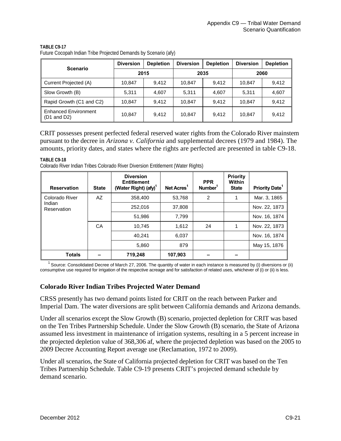| <b>Scenario</b>                                       | <b>Diversion</b> | <b>Depletion</b> | <b>Diversion</b> | <b>Depletion</b> | <b>Diversion</b> | <b>Depletion</b> |
|-------------------------------------------------------|------------------|------------------|------------------|------------------|------------------|------------------|
|                                                       | 2015             |                  | 2035             |                  | 2060             |                  |
| Current Projected (A)                                 | 10.847           | 9.412            | 10.847           | 9.412            | 10.847           | 9.412            |
| Slow Growth (B)                                       | 5.311            | 4.607            | 5.311            | 4,607            | 5,311            | 4,607            |
| Rapid Growth (C1 and C2)                              | 10.847           | 9.412            | 10.847           | 9.412            | 10,847           | 9.412            |
| <b>Enhanced Environment</b><br>$(D1 \text{ and } D2)$ | 10.847           | 9.412            | 10.847           | 9,412            | 10,847           | 9,412            |

**TABLE C9-17** Future Cocopah Indian Tribe Projected Demands by Scenario (afy)

CRIT possesses present perfected federal reserved water rights from the Colorado River mainstem pursuant to the decree in *Arizona v. California* and supplemental decrees (1979 and 1984). The amounts, priority dates, and states where the rights are perfected are presented in table C9-18.

**TABLE C9-18**

Colorado River Indian Tribes Colorado River Diversion Entitlement (Water Rights)

| <b>Reservation</b>                      | <b>State</b> | <b>Diversion</b><br><b>Entitlement</b><br>(Water Right) (afy) <sup>1</sup> | Net Acres <sup>1</sup> | <b>PPR</b><br>Number <sup>1</sup> | Priority<br><b>Within</b><br><b>State</b> | <b>Priority Date<sup>1</sup></b> |
|-----------------------------------------|--------------|----------------------------------------------------------------------------|------------------------|-----------------------------------|-------------------------------------------|----------------------------------|
| Colorado River<br>Indian<br>Reservation | AZ           | 358,400                                                                    | 53,768                 | $\overline{2}$                    |                                           | Mar. 3, 1865                     |
|                                         |              | 252,016                                                                    | 37,808                 |                                   |                                           | Nov. 22, 1873                    |
|                                         |              | 51,986                                                                     | 7,799                  |                                   |                                           | Nov. 16, 1874                    |
|                                         | CA           | 10,745                                                                     | 1,612                  | 24                                |                                           | Nov. 22, 1873                    |
|                                         |              | 40.241                                                                     | 6,037                  |                                   |                                           | Nov. 16, 1874                    |
|                                         |              | 5,860                                                                      | 879                    |                                   |                                           | May 15, 1876                     |
| <b>Totals</b>                           |              | 719,248                                                                    | 107,903                |                                   |                                           |                                  |

<sup>1</sup> Source: Consolidated Decree of March 27, 2006. The quantity of water in each instance is measured by (i) diversions or (ii) consumptive use required for irrigation of the respective acreage and for satisfaction of related uses, whichever of (i) or (ii) is less.

### **Colorado River Indian Tribes Projected Water Demand**

CRSS presently has two demand points listed for CRIT on the reach between Parker and Imperial Dam. The water diversions are split between California demands and Arizona demands.

Under all scenarios except the Slow Growth (B) scenario, projected depletion for CRIT was based on the Ten Tribes Partnership Schedule. Under the Slow Growth (B) scenario, the State of Arizona assumed less investment in maintenance of irrigation systems, resulting in a 5 percent increase in the projected depletion value of 368,306 af, where the projected depletion was based on the 2005 to 2009 Decree Accounting Report average use (Reclamation, 1972 to 2009).

Under all scenarios, the State of California projected depletion for CRIT was based on the Ten Tribes Partnership Schedule. Table C9-19 presents CRIT's projected demand schedule by demand scenario.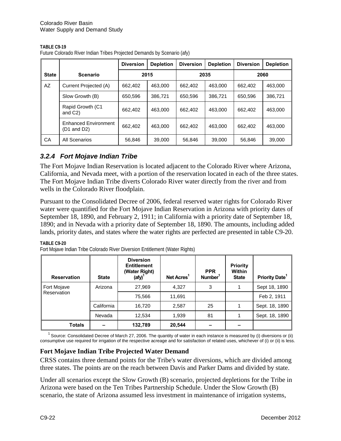| TABLE C9-19 |  |
|-------------|--|
|             |  |

|              |                                                       | <b>Diversion</b> | <b>Depletion</b> | <b>Diversion</b> | <b>Depletion</b> | <b>Diversion</b> | <b>Depletion</b> |  |
|--------------|-------------------------------------------------------|------------------|------------------|------------------|------------------|------------------|------------------|--|
| <b>State</b> | <b>Scenario</b>                                       |                  | 2015             |                  | 2035             |                  | 2060             |  |
| AZ           | Current Projected (A)                                 | 662,402          | 463.000          | 662,402          | 463.000          | 662,402          | 463.000          |  |
|              | Slow Growth (B)                                       | 650,596          | 386.721          | 650.596          | 386,721          | 650.596          | 386,721          |  |
|              | Rapid Growth (C1<br>and $C2$ )                        | 662,402          | 463.000          | 662,402          | 463.000          | 662,402          | 463,000          |  |
|              | <b>Enhanced Environment</b><br>$(D1 \text{ and } D2)$ | 662.402          | 463.000          | 662,402          | 463.000          | 662,402          | 463.000          |  |
| CA           | All Scenarios                                         | 56,846           | 39,000           | 56,846           | 39,000           | 56.846           | 39,000           |  |

Future Colorado River Indian Tribes Projected Demands by Scenario (afy)

# *3.2.4 Fort Mojave Indian Tribe*

The Fort Mojave Indian Reservation is located adjacent to the Colorado River where Arizona, California, and Nevada meet, with a portion of the reservation located in each of the three states. The Fort Mojave Indian Tribe diverts Colorado River water directly from the river and from wells in the Colorado River floodplain.

Pursuant to the Consolidated Decree of 2006, federal reserved water rights for Colorado River water were quantified for the Fort Mojave Indian Reservation in Arizona with priority dates of September 18, 1890, and February 2, 1911; in California with a priority date of September 18, 1890; and in Nevada with a priority date of September 18, 1890. The amounts, including added lands, priority dates, and states where the water rights are perfected are presented in table C9-20.

#### **TABLE C9-20**

| Fort Mojave Indian Tribe Colorado River Diversion Entitlement (Water Rights) |  |
|------------------------------------------------------------------------------|--|
|------------------------------------------------------------------------------|--|

| <b>Reservation</b> | <b>State</b> | <b>Diversion</b><br><b>Entitlement</b><br>(Water Right)<br>$\left($ afy $\right)$ <sup>1</sup> | Net Acres <sup>1</sup> | <b>PPR</b><br>Number <sup>1</sup> | Priority<br>Within<br><b>State</b> | <b>Priority Date</b> |
|--------------------|--------------|------------------------------------------------------------------------------------------------|------------------------|-----------------------------------|------------------------------------|----------------------|
| Fort Mojave        | Arizona      | 27,969                                                                                         | 4,327                  | 3                                 |                                    | Sept 18, 1890        |
| Reservation        |              | 75,566                                                                                         | 11,691                 |                                   |                                    | Feb 2, 1911          |
|                    | California   | 16,720                                                                                         | 2,587                  | 25                                |                                    | Sept. 18, 1890       |
|                    | Nevada       | 12,534                                                                                         | 1,939                  | 81                                |                                    | Sept. 18, 1890       |
| Totals             |              | 132,789                                                                                        | 20,544                 |                                   |                                    |                      |

 $1$  Source: Consolidated Decree of March 27, 2006. The quantity of water in each instance is measured by (i) diversions or (ii) consumptive use required for irrigation of the respective acreage and for satisfaction of related uses, whichever of (i) or (ii) is less.

## **Fort Mojave Indian Tribe Projected Water Demand**

CRSS contains three demand points for the Tribe's water diversions, which are divided among three states. The points are on the reach between Davis and Parker Dams and divided by state.

Under all scenarios except the Slow Growth (B) scenario, projected depletions for the Tribe in Arizona were based on the Ten Tribes Partnership Schedule. Under the Slow Growth (B) scenario, the state of Arizona assumed less investment in maintenance of irrigation systems,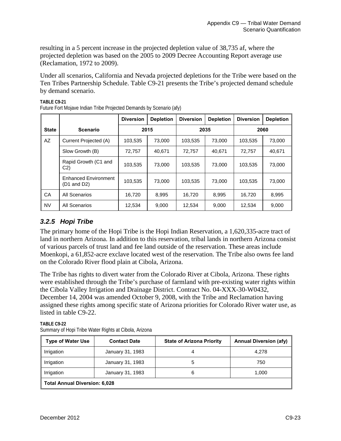resulting in a 5 percent increase in the projected depletion value of 38,735 af, where the projected depletion was based on the 2005 to 2009 Decree Accounting Report average use (Reclamation, 1972 to 2009).

Under all scenarios, California and Nevada projected depletions for the Tribe were based on the Ten Tribes Partnership Schedule. Table C9-21 presents the Tribe's projected demand schedule by demand scenario.

|              |                                                       | <b>Diversion</b> | <b>Depletion</b> | <b>Diversion</b> | <b>Depletion</b> | <b>Diversion</b> | <b>Depletion</b> |  |
|--------------|-------------------------------------------------------|------------------|------------------|------------------|------------------|------------------|------------------|--|
| <b>State</b> | <b>Scenario</b>                                       |                  | 2015             |                  | 2035             |                  | 2060             |  |
| AZ           | Current Projected (A)                                 | 103,535          | 73,000           | 103,535          | 73,000           | 103,535          | 73,000           |  |
|              | Slow Growth (B)                                       | 72.757           | 40.671           | 72,757           | 40.671           | 72,757           | 40,671           |  |
|              | Rapid Growth (C1 and<br>C <sub>2</sub>                | 103,535          | 73,000           | 103,535          | 73,000           | 103,535          | 73,000           |  |
|              | <b>Enhanced Environment</b><br>$(D1 \text{ and } D2)$ | 103,535          | 73,000           | 103,535          | 73,000           | 103.535          | 73,000           |  |
| CA           | All Scenarios                                         | 16,720           | 8,995            | 16,720           | 8,995            | 16,720           | 8,995            |  |
| <b>NV</b>    | All Scenarios                                         | 12,534           | 9,000            | 12,534           | 9.000            | 12,534           | 9,000            |  |

**TABLE C9-21** Future Fort Mojave Indian Tribe Projected Demands by Scenario (afy)

# *3.2.5 Hopi Tribe*

The primary home of the Hopi Tribe is the Hopi Indian Reservation, a 1,620,335-acre tract of land in northern Arizona. In addition to this reservation, tribal lands in northern Arizona consist of various parcels of trust land and fee land outside of the reservation. These areas include Moenkopi, a 61,852-acre exclave located west of the reservation. The Tribe also owns fee land on the Colorado River flood plain at Cibola, Arizona.

The Tribe has rights to divert water from the Colorado River at Cibola, Arizona. These rights were established through the Tribe's purchase of farmland with pre-existing water rights within the Cibola Valley Irrigation and Drainage District. Contract No. 04-XXX-30-W0432, December 14, 2004 was amended October 9, 2008, with the Tribe and Reclamation having assigned these rights among specific state of Arizona priorities for Colorado River water use, as listed in table C9-22.

**Type of Water Use Contact Date State of Arizona Priority Annual Diversion (afy)** Irrigation | January 31, 1983 | 4 4 4,278 Irrigation | January 31, 1983 | 5 | 750 Irrigation  $\vert$  January 31, 1983  $\vert$  6 1,000 **Total Annual Diversion: 6,028** 

**TABLE C9-22** Summary of Hopi Tribe Water Rights at Cibola, Arizona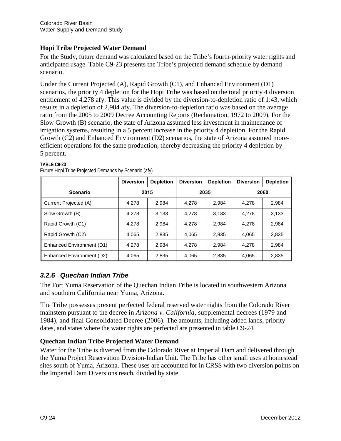# **Hopi Tribe Projected Water Demand**

For the Study, future demand was calculated based on the Tribe's fourth-priority water rights and anticipated usage. Table C9-23 presents the Tribe's projected demand schedule by demand scenario.

Under the Current Projected (A), Rapid Growth (C1), and Enhanced Environment (D1) scenarios, the priority 4 depletion for the Hopi Tribe was based on the total priority 4 diversion entitlement of 4,278 afy. This value is divided by the diversion-to-depletion ratio of 1:43, which results in a depletion of 2,984 afy. The diversion-to-depletion ratio was based on the average ratio from the 2005 to 2009 Decree Accounting Reports (Reclamation, 1972 to 2009). For the Slow Growth (B) scenario, the state of Arizona assumed less investment in maintenance of irrigation systems, resulting in a 5 percent increase in the priority 4 depletion. For the Rapid Growth (C2) and Enhanced Environment (D2) scenarios, the state of Arizona assumed moreefficient operations for the same production, thereby decreasing the priority 4 depletion by 5 percent.

|                           | <b>Diversion</b> | <b>Depletion</b> | <b>Diversion</b> | <b>Depletion</b> | <b>Diversion</b> | <b>Depletion</b> |
|---------------------------|------------------|------------------|------------------|------------------|------------------|------------------|
| <b>Scenario</b>           | 2015             |                  | 2035             |                  | 2060             |                  |
| Current Projected (A)     | 4,278            | 2,984            | 4.278            | 2.984            | 4.278            | 2,984            |
| Slow Growth (B)           | 4.278            | 3,133            | 4.278            | 3.133            | 4.278            | 3,133            |
| Rapid Growth (C1)         | 4.278            | 2.984            | 4.278            | 2.984            | 4.278            | 2.984            |
| Rapid Growth (C2)         | 4.065            | 2,835            | 4.065            | 2.835            | 4.065            | 2,835            |
| Enhanced Environment (D1) | 4.278            | 2.984            | 4.278            | 2,984            | 4.278            | 2,984            |
| Enhanced Environment (D2) | 4,065            | 2,835            | 4,065            | 2,835            | 4,065            | 2,835            |

#### **TABLE C9-23**

|  | Future Hopi Tribe Projected Demands by Scenario (afy) |  |
|--|-------------------------------------------------------|--|

# *3.2.6 Quechan Indian Tribe*

The Fort Yuma Reservation of the Quechan Indian Tribe is located in southwestern Arizona and southern California near Yuma, Arizona.

The Tribe possesses present perfected federal reserved water rights from the Colorado River mainstem pursuant to the decree in *Arizona v. California,* supplemental decrees (1979 and 1984), and final Consolidated Decree (2006). The amounts, including added lands, priority dates, and states where the water rights are perfected are presented in table C9-24.

## **Quechan Indian Tribe Projected Water Demand**

Water for the Tribe is diverted from the Colorado River at Imperial Dam and delivered through the Yuma Project Reservation Division-Indian Unit. The Tribe has other small uses at homestead sites south of Yuma, Arizona. These uses are accounted for in CRSS with two diversion points on the Imperial Dam Diversions reach, divided by state.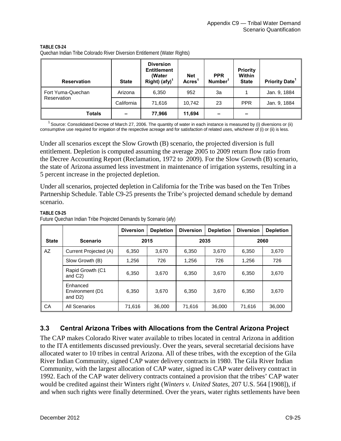| <b>Reservation</b> | <b>State</b>             | <b>Diversion</b><br><b>Entitlement</b><br>(Water<br>Right) $(afy)^1$ | <b>Net</b><br><b>Acres</b> | <b>PPR</b><br>Number <sup>1</sup> | <b>Priority</b><br>Within<br><b>State</b> | <b>Priority Date<sup>1</sup></b> |
|--------------------|--------------------------|----------------------------------------------------------------------|----------------------------|-----------------------------------|-------------------------------------------|----------------------------------|
| Fort Yuma-Quechan  | Arizona                  | 6,350                                                                | 952                        | 3a                                |                                           | Jan. 9, 1884                     |
| Reservation        | California               | 71,616                                                               | 10,742                     | 23                                | <b>PPR</b>                                | Jan. 9, 1884                     |
| <b>Totals</b>      | $\overline{\phantom{0}}$ | 77,966                                                               | 11,694                     |                                   |                                           |                                  |

**TABLE C9-24** Quechan Indian Tribe Colorado River Diversion Entitlement (Water Rights)

<sup>1</sup> Source: Consolidated Decree of March 27, 2006. The quantity of water in each instance is measured by (i) diversions or (ii) consumptive use required for irrigation of the respective acreage and for satisfaction of related uses, whichever of (i) or (ii) is less.

Under all scenarios except the Slow Growth (B) scenario, the projected diversion is full entitlement. Depletion is computed assuming the average 2005 to 2009 return flow ratio from the Decree Accounting Report (Reclamation, 1972 to 2009). For the Slow Growth (B) scenario, the state of Arizona assumed less investment in maintenance of irrigation systems, resulting in a 5 percent increase in the projected depletion.

Under all scenarios, projected depletion in California for the Tribe was based on the Ten Tribes Partnership Schedule. Table C9-25 presents the Tribe's projected demand schedule by demand scenario.

|              |                                                     | <b>Diversion</b> | <b>Depletion</b> | <b>Diversion</b> | <b>Depletion</b> | <b>Diversion</b> | <b>Depletion</b> |  |
|--------------|-----------------------------------------------------|------------------|------------------|------------------|------------------|------------------|------------------|--|
| <b>State</b> | <b>Scenario</b>                                     |                  | 2015             |                  | 2035             |                  | 2060             |  |
| AZ           | Current Projected (A)                               | 6,350            | 3,670            | 6,350            | 3,670            | 6,350            | 3,670            |  |
|              | Slow Growth (B)                                     | 1,256            | 726              | 1,256            | 726              | 1,256            | 726              |  |
|              | Rapid Growth (C1<br>and C <sub>2</sub> )            | 6.350            | 3.670            | 6.350            | 3.670            | 6,350            | 3.670            |  |
|              | Enhanced<br>Environment (D1<br>and D <sub>2</sub> ) | 6,350            | 3,670            | 6,350            | 3,670            | 6,350            | 3,670            |  |
| CA           | All Scenarios                                       | 71,616           | 36,000           | 71,616           | 36,000           | 71,616           | 36,000           |  |

#### **TABLE C9-25**

Future Quechan Indian Tribe Projected Demands by Scenario (afy)

## **3.3 Central Arizona Tribes with Allocations from the Central Arizona Project**

The CAP makes Colorado River water available to tribes located in central Arizona in addition to the ITA entitlements discussed previously. Over the years, several secretarial decisions have allocated water to 10 tribes in central Arizona. All of these tribes, with the exception of the Gila River Indian Community, signed CAP water delivery contracts in 1980. The Gila River Indian Community, with the largest allocation of CAP water, signed its CAP water delivery contract in 1992. Each of the CAP water delivery contracts contained a provision that the tribes' CAP water would be credited against their Winters right (*Winters v. United States,* 207 U.S. 564 [1908]), if and when such rights were finally determined. Over the years, water rights settlements have been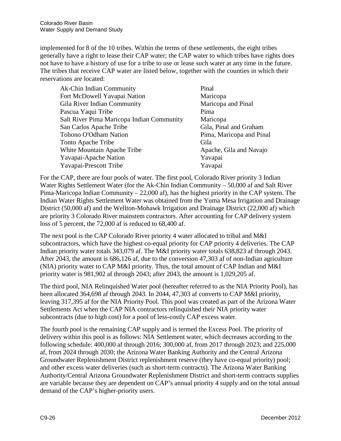implemented for 8 of the 10 tribes. Within the terms of these settlements, the eight tribes generally have a right to lease their CAP water; the CAP water to which tribes have rights does not have to have a history of use for a tribe to use or lease such water at any time in the future. The tribes that receive CAP water are listed below, together with the counties in which their reservations are located:

| Ak-Chin Indian Community                  | Pinal                    |
|-------------------------------------------|--------------------------|
| Fort McDowell Yavapai Nation              | Maricopa                 |
| Gila River Indian Community               | Maricopa and Pinal       |
| Pascua Yaqui Tribe                        | Pima                     |
| Salt River Pima Maricopa Indian Community | Maricopa                 |
| San Carlos Apache Tribe                   | Gila, Pinal and Graham   |
| Tohono O'Odham Nation                     | Pima, Maricopa and Pinal |
| Tonto Apache Tribe                        | Gila                     |
| White Mountain Apache Tribe               | Apache, Gila and Navajo  |
| Yavapai-Apache Nation                     | Yavapai                  |
| Yavapai-Prescott Tribe                    | Yavapai                  |

For the CAP, there are four pools of water. The first pool, Colorado River priority 3 Indian Water Rights Settlement Water (for the Ak-Chin Indian Community – 50,000 af and Salt River Pima-Maricopa Indian Community – 22,000 af), has the highest priority in the CAP system. The Indian Water Rights Settlement Water was obtained from the Yuma Mesa Irrigation and Drainage District (50,000 af) and the Wellton-Mohawk Irrigation and Drainage District (22,000 af) which are priority 3 Colorado River mainstem contractors. After accounting for CAP delivery system loss of 5 percent, the 72,000 af is reduced to 68,400 af.

The next pool is the CAP Colorado River priority 4 water allocated to tribal and M&I subcontractors, which have the highest co-equal priority for CAP priority 4 deliveries. The CAP Indian priority water totals 343,079 af. The M&I priority water totals 638,823 af through 2043. After 2043, the amount is 686,126 af, due to the conversion 47,303 af of non-Indian agriculture (NIA) priority water to CAP M&I priority. Thus, the total amount of CAP Indian and M&I priority water is 981,902 af through 2043; after 2043, the amount is 1,029,205 af.

The third pool, NIA Relinquished Water pool (hereafter referred to as the NIA Priority Pool), has been allocated 364,698 af through 2043. In 2044, 47,303 af converts to CAP M&I priority, leaving 317,395 af for the NIA Priority Pool. This pool was created as part of the Arizona Water Settlements Act when the CAP NIA contractors relinquished their NIA priority water subcontracts (due to high cost) for a pool of less-costly CAP excess water.

The fourth pool is the remaining CAP supply and is termed the Excess Pool. The priority of delivery within this pool is as follows: NIA Settlement water, which decreases according to the following schedule: 400,000 af through 2016; 300,000 af, from 2017 through 2023; and 225,000 af, from 2024 through 2030; the Arizona Water Banking Authority and the Central Arizona Groundwater Replenishment District replenishment reserve (they have co-equal priority) pool; and other excess water deliveries (such as short-term contracts). The Arizona Water Banking Authority/Central Arizona Groundwater Replenishment District and short-term contracts supplies are variable because they are dependent on CAP's annual priority 4 supply and on the total annual demand of the CAP's higher-priority users.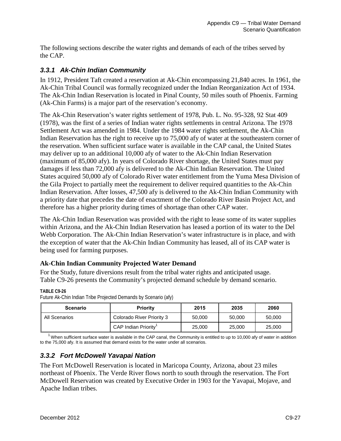The following sections describe the water rights and demands of each of the tribes served by the CAP.

# *3.3.1 Ak-Chin Indian Community*

In 1912, President Taft created a reservation at Ak-Chin encompassing 21,840 acres. In 1961, the Ak-Chin Tribal Council was formally recognized under the Indian Reorganization Act of 1934. The Ak-Chin Indian Reservation is located in Pinal County, 50 miles south of Phoenix. Farming (Ak-Chin Farms) is a major part of the reservation's economy.

The Ak-Chin Reservation's water rights settlement of 1978, Pub. L. No. 95-328, 92 Stat 409 (1978), was the first of a series of Indian water rights settlements in central Arizona. The 1978 Settlement Act was amended in 1984. Under the 1984 water rights settlement, the Ak-Chin Indian Reservation has the right to receive up to 75,000 afy of water at the southeastern corner of the reservation. When sufficient surface water is available in the CAP canal, the United States may deliver up to an additional 10,000 afy of water to the Ak-Chin Indian Reservation (maximum of 85,000 afy). In years of Colorado River shortage, the United States must pay damages if less than 72,000 afy is delivered to the Ak-Chin Indian Reservation. The United States acquired 50,000 afy of Colorado River water entitlement from the Yuma Mesa Division of the Gila Project to partially meet the requirement to deliver required quantities to the Ak-Chin Indian Reservation. After losses, 47,500 afy is delivered to the Ak-Chin Indian Community with a priority date that precedes the date of enactment of the Colorado River Basin Project Act, and therefore has a higher priority during times of shortage than other CAP water.

The Ak-Chin Indian Reservation was provided with the right to lease some of its water supplies within Arizona, and the Ak-Chin Indian Reservation has leased a portion of its water to the Del Webb Corporation. The Ak-Chin Indian Reservation's water infrastructure is in place, and with the exception of water that the Ak-Chin Indian Community has leased, all of its CAP water is being used for farming purposes.

# **Ak-Chin Indian Community Projected Water Demand**

For the Study, future diversions result from the tribal water rights and anticipated usage. Table C9-26 presents the Community's projected demand schedule by demand scenario.

**TABLE C9-26**

| Scenario      | <b>Priority</b>                  | 2015   | 2035   | 2060   |
|---------------|----------------------------------|--------|--------|--------|
| All Scenarios | Colorado River Priority 3        | 50,000 | 50,000 | 50,000 |
|               | CAP Indian Priority <sup>1</sup> | 25,000 | 25,000 | 25,000 |

Future Ak-Chin Indian Tribe Projected Demands by Scenario (afy)

 $1$  When sufficient surface water is available in the CAP canal, the Community is entitled to up to 10,000 afy of water in addition to the 75,000 afy. It is assumed that demand exists for the water under all scenarios.

# *3.3.2 Fort McDowell Yavapai Nation*

The Fort McDowell Reservation is located in Maricopa County, Arizona, about 23 miles northeast of Phoenix. The Verde River flows north to south through the reservation. The Fort McDowell Reservation was created by Executive Order in 1903 for the Yavapai, Mojave, and Apache Indian tribes.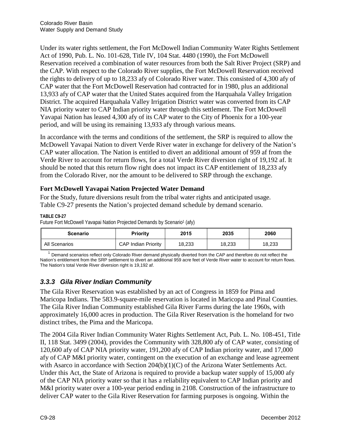Under its water rights settlement, the Fort McDowell Indian Community Water Rights Settlement Act of 1990, Pub. L. No. 101-628, Title IV, 104 Stat. 4480 (1990), the Fort McDowell Reservation received a combination of water resources from both the Salt River Project (SRP) and the CAP. With respect to the Colorado River supplies, the Fort McDowell Reservation received the rights to delivery of up to 18,233 afy of Colorado River water. This consisted of 4,300 afy of CAP water that the Fort McDowell Reservation had contracted for in 1980, plus an additional 13,933 afy of CAP water that the United States acquired from the Harquahala Valley Irrigation District. The acquired Harquahala Valley Irrigation District water was converted from its CAP NIA priority water to CAP Indian priority water through this settlement. The Fort McDowell Yavapai Nation has leased 4,300 afy of its CAP water to the City of Phoenix for a 100-year period, and will be using its remaining 13,933 afy through various means.

In accordance with the terms and conditions of the settlement, the SRP is required to allow the McDowell Yavapai Nation to divert Verde River water in exchange for delivery of the Nation's CAP water allocation. The Nation is entitled to divert an additional amount of 959 af from the Verde River to account for return flows, for a total Verde River diversion right of 19,192 af. It should be noted that this return flow right does not impact its CAP entitlement of 18,233 afy from the Colorado River, nor the amount to be delivered to SRP through the exchange.

# **Fort McDowell Yavapai Nation Projected Water Demand**

For the Study, future diversions result from the tribal water rights and anticipated usage. Table C9-27 presents the Nation's projected demand schedule by demand scenario.

### **TABLE C9-27**

Future Fort McDowell Yavapai Nation Projected Demands by Scenario<sup>1</sup> (afy)

| <b>Scenario</b> | Priority                   | 2015   | 2035   | 2060   |
|-----------------|----------------------------|--------|--------|--------|
| All Scenarios   | <b>CAP Indian Priority</b> | 18,233 | 18,233 | 18,233 |

 $1$  Demand scenarios reflect only Colorado River demand physically diverted from the CAP and therefore do not reflect the Nation's entitlement from the SRP settlement to divert an additional 959 acre feet of Verde River water to account for return flows. The Nation's total Verde River diversion right is 19,192 af.

# *3.3.3 Gila River Indian Community*

The Gila River Reservation was established by an act of Congress in 1859 for Pima and Maricopa Indians. The 583.9-square-mile reservation is located in Maricopa and Pinal Counties. The Gila River Indian Community established Gila River Farms during the late 1960s, with approximately 16,000 acres in production. The Gila River Reservation is the homeland for two distinct tribes, the Pima and the Maricopa.

The 2004 Gila River Indian Community Water Rights Settlement Act, Pub. L. No. 108-451, Title II, 118 Stat. 3499 (2004), provides the Community with 328,800 afy of CAP water, consisting of 120,600 afy of CAP NIA priority water, 191,200 afy of CAP Indian priority water, and 17,000 afy of CAP M&I priority water, contingent on the execution of an exchange and lease agreement with Asarco in accordance with Section 204(b)(1)(C) of the Arizona Water Settlements Act. Under this Act, the State of Arizona is required to provide a backup water supply of 15,000 afy of the CAP NIA priority water so that it has a reliability equivalent to CAP Indian priority and M&I priority water over a 100-year period ending in 2108. Construction of the infrastructure to deliver CAP water to the Gila River Reservation for farming purposes is ongoing. Within the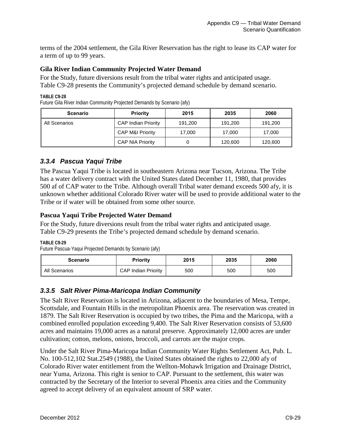terms of the 2004 settlement, the Gila River Reservation has the right to lease its CAP water for a term of up to 99 years.

### **Gila River Indian Community Projected Water Demand**

For the Study, future diversions result from the tribal water rights and anticipated usage. Table C9-28 presents the Community's projected demand schedule by demand scenario.

**TABLE C9-28**

Future Gila River Indian Community Projected Demands by Scenario (afy)

| <b>Scenario</b> | <b>Priority</b>             | 2015    | 2035    | 2060    |
|-----------------|-----------------------------|---------|---------|---------|
| All Scenarios   | <b>CAP Indian Priority</b>  | 191,200 | 191,200 | 191,200 |
|                 | <b>CAP M&amp;I Priority</b> | 17,000  | 17,000  | 17,000  |
|                 | <b>CAP NIA Priority</b>     |         | 120,600 | 120,600 |

## *3.3.4 Pascua Yaqui Tribe*

The Pascua Yaqui Tribe is located in southeastern Arizona near Tucson, Arizona. The Tribe has a water delivery contract with the United States dated December 11, 1980, that provides 500 af of CAP water to the Tribe. Although overall Tribal water demand exceeds 500 afy, it is unknown whether additional Colorado River water will be used to provide additional water to the Tribe or if water will be obtained from some other source.

### **Pascua Yaqui Tribe Projected Water Demand**

For the Study, future diversions result from the tribal water rights and anticipated usage. Table C9-29 presents the Tribe's projected demand schedule by demand scenario.

**TABLE C9-29**

Future Pascua-Yaqui Projected Demands by Scenario (afy)

| <b>Scenario</b> | <b>Priority</b>            | 2015 | 2035 | 2060 |
|-----------------|----------------------------|------|------|------|
| All Scenarios   | <b>CAP Indian Priority</b> | 500  | 500  | 500  |

## *3.3.5 Salt River Pima-Maricopa Indian Community*

The Salt River Reservation is located in Arizona, adjacent to the boundaries of Mesa, Tempe, Scottsdale, and Fountain Hills in the metropolitan Phoenix area. The reservation was created in 1879. The Salt River Reservation is occupied by two tribes, the Pima and the Maricopa, with a combined enrolled population exceeding 9,400. The Salt River Reservation consists of 53,600 acres and maintains 19,000 acres as a natural preserve. Approximately 12,000 acres are under cultivation; cotton, melons, onions, broccoli, and carrots are the major crops.

Under the Salt River Pima-Maricopa Indian Community Water Rights Settlement Act, Pub. L. No. 100-512,102 Stat.2549 (1988), the United States obtained the rights to 22,000 afy of Colorado River water entitlement from the Wellton-Mohawk Irrigation and Drainage District, near Yuma, Arizona. This right is senior to CAP. Pursuant to the settlement, this water was contracted by the Secretary of the Interior to several Phoenix area cities and the Community agreed to accept delivery of an equivalent amount of SRP water.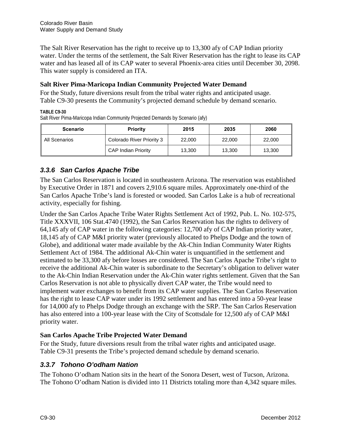The Salt River Reservation has the right to receive up to 13,300 afy of CAP Indian priority water. Under the terms of the settlement, the Salt River Reservation has the right to lease its CAP water and has leased all of its CAP water to several Phoenix-area cities until December 30, 2098. This water supply is considered an ITA.

## **Salt River Pima-Maricopa Indian Community Projected Water Demand**

For the Study, future diversions result from the tribal water rights and anticipated usage. Table C9-30 presents the Community's projected demand schedule by demand scenario.

#### **TABLE C9-30**

Salt River Pima-Maricopa Indian Community Projected Demands by Scenario (afy)

| <b>Scenario</b> | <b>Priority</b>            | 2015   | 2035   | 2060   |
|-----------------|----------------------------|--------|--------|--------|
| All Scenarios   | Colorado River Priority 3  | 22,000 | 22,000 | 22,000 |
|                 | <b>CAP Indian Priority</b> | 13,300 | 13.300 | 13.300 |

# *3.3.6 San Carlos Apache Tribe*

The San Carlos Reservation is located in southeastern Arizona. The reservation was established by Executive Order in 1871 and covers 2,910.6 square miles. Approximately one-third of the San Carlos Apache Tribe's land is forested or wooded. San Carlos Lake is a hub of recreational activity, especially for fishing.

Under the San Carlos Apache Tribe Water Rights Settlement Act of 1992, Pub. L. No. 102-575, Title XXXVII, 106 Stat.4740 (1992), the San Carlos Reservation has the rights to delivery of 64,145 afy of CAP water in the following categories: 12,700 afy of CAP Indian priority water, 18,145 afy of CAP M&I priority water (previously allocated to Phelps Dodge and the town of Globe), and additional water made available by the Ak-Chin Indian Community Water Rights Settlement Act of 1984. The additional Ak-Chin water is unquantified in the settlement and estimated to be 33,300 afy before losses are considered. The San Carlos Apache Tribe's right to receive the additional Ak-Chin water is subordinate to the Secretary's obligation to deliver water to the Ak-Chin Indian Reservation under the Ak-Chin water rights settlement. Given that the San Carlos Reservation is not able to physically divert CAP water, the Tribe would need to implement water exchanges to benefit from its CAP water supplies. The San Carlos Reservation has the right to lease CAP water under its 1992 settlement and has entered into a 50-year lease for 14,000 afy to Phelps Dodge through an exchange with the SRP. The San Carlos Reservation has also entered into a 100-year lease with the City of Scottsdale for 12,500 afy of CAP M&I priority water.

## **San Carlos Apache Tribe Projected Water Demand**

For the Study, future diversions result from the tribal water rights and anticipated usage. Table C9-31 presents the Tribe's projected demand schedule by demand scenario.

## *3.3.7 Tohono O'odham Nation*

The Tohono O'odham Nation sits in the heart of the Sonora Desert, west of Tucson, Arizona. The Tohono O'odham Nation is divided into 11 Districts totaling more than 4,342 square miles.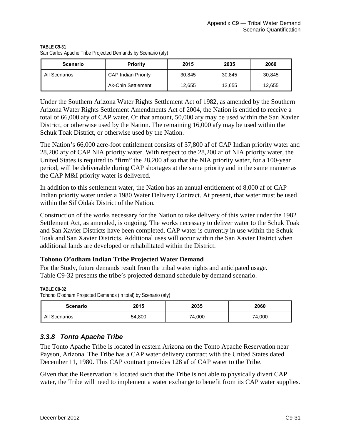| TABLE C9-31                                                 |  |
|-------------------------------------------------------------|--|
| San Carlos Apache Tribe Projected Demands by Scenario (afy) |  |

| <b>Scenario</b> | <b>Priority</b>            | 2015   | 2035   | 2060   |
|-----------------|----------------------------|--------|--------|--------|
| All Scenarios   | <b>CAP Indian Priority</b> | 30,845 | 30,845 | 30,845 |
|                 | Ak-Chin Settlement         | 12,655 | 12,655 | 12,655 |

Under the Southern Arizona Water Rights Settlement Act of 1982, as amended by the Southern Arizona Water Rights Settlement Amendments Act of 2004, the Nation is entitled to receive a total of 66,000 afy of CAP water. Of that amount, 50,000 afy may be used within the San Xavier District, or otherwise used by the Nation. The remaining 16,000 afy may be used within the Schuk Toak District, or otherwise used by the Nation.

The Nation's 66,000 acre-foot entitlement consists of 37,800 af of CAP Indian priority water and 28,200 afy of CAP NIA priority water. With respect to the 28,200 af of NIA priority water, the United States is required to "firm" the 28,200 af so that the NIA priority water, for a 100-year period, will be deliverable during CAP shortages at the same priority and in the same manner as the CAP M&I priority water is delivered.

In addition to this settlement water, the Nation has an annual entitlement of 8,000 af of CAP Indian priority water under a 1980 Water Delivery Contract. At present, that water must be used within the Sif Oidak District of the Nation.

Construction of the works necessary for the Nation to take delivery of this water under the 1982 Settlement Act, as amended, is ongoing. The works necessary to deliver water to the Schuk Toak and San Xavier Districts have been completed. CAP water is currently in use within the Schuk Toak and San Xavier Districts. Additional uses will occur within the San Xavier District when additional lands are developed or rehabilitated within the District.

## **Tohono O'odham Indian Tribe Projected Water Demand**

For the Study, future demands result from the tribal water rights and anticipated usage. Table C9-32 presents the tribe's projected demand schedule by demand scenario.

**TABLE C9-32**

Tohono O'odham Projected Demands (in total) by Scenario (afy)

| <b>Scenario</b> | 2015   | 2035   | 2060   |
|-----------------|--------|--------|--------|
| All Scenarios   | 54,800 | 74,000 | 74,000 |

# *3.3.8 Tonto Apache Tribe*

The Tonto Apache Tribe is located in eastern Arizona on the Tonto Apache Reservation near Payson, Arizona. The Tribe has a CAP water delivery contract with the United States dated December 11, 1980. This CAP contract provides 128 af of CAP water to the Tribe.

Given that the Reservation is located such that the Tribe is not able to physically divert CAP water, the Tribe will need to implement a water exchange to benefit from its CAP water supplies.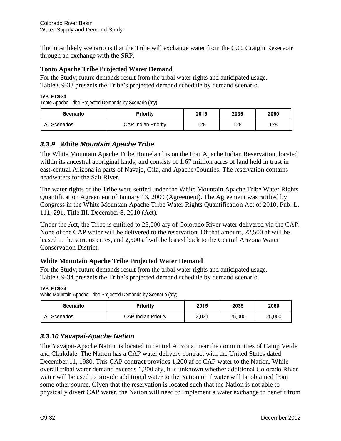The most likely scenario is that the Tribe will exchange water from the C.C. Craigin Reservoir through an exchange with the SRP.

## **Tonto Apache Tribe Projected Water Demand**

For the Study, future demands result from the tribal water rights and anticipated usage. Table C9-33 presents the Tribe's projected demand schedule by demand scenario.

**TABLE C9-33**

Tonto Apache Tribe Projected Demands by Scenario (afy)

| Scenario      | <b>Priority</b>            | 2015 | 2035 | 2060 |
|---------------|----------------------------|------|------|------|
| All Scenarios | <b>CAP Indian Priority</b> | 128  | 128  | 128  |

# *3.3.9 White Mountain Apache Tribe*

The White Mountain Apache Tribe Homeland is on the Fort Apache Indian Reservation, located within its ancestral aboriginal lands, and consists of 1.67 million acres of land held in trust in east-central Arizona in parts of Navajo, Gila, and Apache Counties. The reservation contains headwaters for the Salt River.

The water rights of the Tribe were settled under the White Mountain Apache Tribe Water Rights Quantification Agreement of January 13, 2009 (Agreement). The Agreement was ratified by Congress in the White Mountain Apache Tribe Water Rights Quantification Act of 2010, Pub. L. 111–291, Title III, December 8, 2010 (Act).

Under the Act, the Tribe is entitled to 25,000 afy of Colorado River water delivered via the CAP. None of the CAP water will be delivered to the reservation. Of that amount, 22,500 af will be leased to the various cities, and 2,500 af will be leased back to the Central Arizona Water Conservation District.

## **White Mountain Apache Tribe Projected Water Demand**

For the Study, future demands result from the tribal water rights and anticipated usage. Table C9-34 presents the Tribe's projected demand schedule by demand scenario.

**TABLE C9-34**

White Mountain Apache Tribe Projected Demands by Scenario (afy)

| Scenario      | Priority                   | 2015  | 2035   | 2060   |
|---------------|----------------------------|-------|--------|--------|
| All Scenarios | <b>CAP Indian Priority</b> | 2,031 | 25,000 | 25,000 |

# *3.3.10 Yavapai-Apache Nation*

The Yavapai-Apache Nation is located in central Arizona, near the communities of Camp Verde and Clarkdale. The Nation has a CAP water delivery contract with the United States dated December 11, 1980. This CAP contract provides 1,200 af of CAP water to the Nation. While overall tribal water demand exceeds 1,200 afy, it is unknown whether additional Colorado River water will be used to provide additional water to the Nation or if water will be obtained from some other source. Given that the reservation is located such that the Nation is not able to physically divert CAP water, the Nation will need to implement a water exchange to benefit from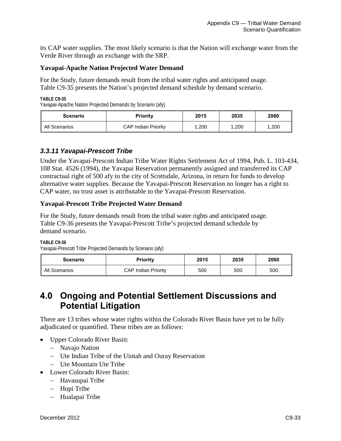its CAP water supplies. The most likely scenario is that the Nation will exchange water from the Verde River through an exchange with the SRP.

### **Yavapai-Apache Nation Projected Water Demand**

For the Study, future demands result from the tribal water rights and anticipated usage. Table C9-35 presents the Nation's projected demand schedule by demand scenario.

**TABLE C9-35**

Yavapai-Apache Nation Projected Demands by Scenario (afy)

| Scenario      | <b>Priority</b>            | 2015  | 2035  | 2060  |
|---------------|----------------------------|-------|-------|-------|
| All Scenarios | <b>CAP Indian Priority</b> | 1,200 | 1.200 | 1,200 |

## *3.3.11 Yavapai-Prescott Tribe*

Under the Yavapai-Prescott Indian Tribe Water Rights Settlement Act of 1994, Pub. L. 103-434, 108 Stat. 4526 (1994), the Yavapai Reservation permanently assigned and transferred its CAP contractual right of 500 afy to the city of Scottsdale, Arizona, in return for funds to develop alternative water supplies. Because the Yavapai-Prescott Reservation no longer has a right to CAP water, no trust asset is attributable to the Yavapai-Prescott Reservation.

### **Yavapai-Prescott Tribe Projected Water Demand**

For the Study, future demands result from the tribal water rights and anticipated usage. Table C9-36 presents the Yavapai-Prescott Tribe's projected demand schedule by demand scenario.

#### **TABLE C9-36**

Yavapai-Prescott Tribe Projected Demands by Scenario (afy)

| <b>Scenario</b> | Priority                   | 2015 | 2035 | 2060 |
|-----------------|----------------------------|------|------|------|
| All Scenarios   | <b>CAP Indian Priority</b> | 500  | 500  | 500  |

# **4.0 Ongoing and Potential Settlement Discussions and Potential Litigation**

There are 13 tribes whose water rights within the Colorado River Basin have yet to be fully adjudicated or quantified. These tribes are as follows:

- Upper Colorado River Basin:
	- − Navajo Nation
	- − Ute Indian Tribe of the Uintah and Ouray Reservation
	- − Ute Mountain Ute Tribe
- Lower Colorado River Basin:
	- − Havasupai Tribe
	- − Hopi Tribe
	- − Hualapai Tribe